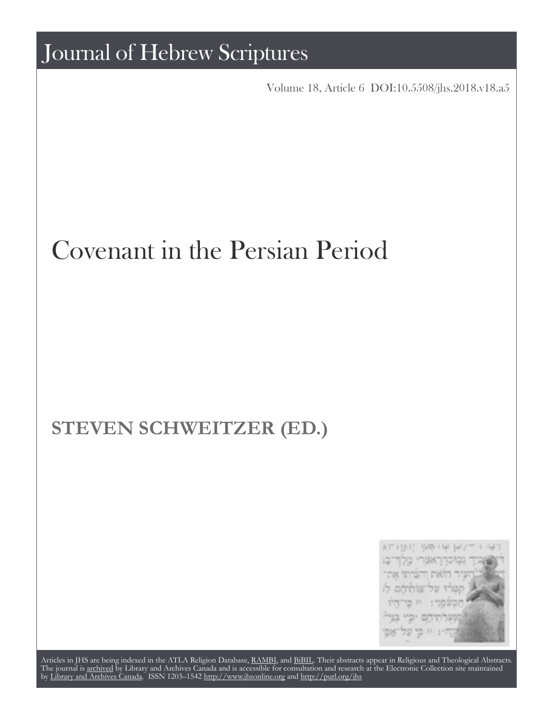KIT (UIT) 1989 FRF 6P "אצרי מלוד־בו

Articles in JHS are being indexed in the ATLA Religion Database, [RAMBI,](http://web.nli.org.il/sites/nli/english/infochannels/catalogs/bibliographic-databases/rambi/pages/rambi.aspx) and [BiBIL](http://bibil.net/). Their abstracts appear in Religious and Theological Abstracts. The journal is [archived](http://epe.lac-bac.gc.ca/100/201/300/journal_hebrew/index.html) by Library and Archives Canada and is accessible for consultation and research at the Electronic Collection site maintained by [Library and Archives Canada.](http://collectionscanada.ca/electroniccollection/) ISSN 1203–1542 <http://www.jhsonline.org>and<http://purl.org/jhs>

## Journal of Hebrew Scriptures

Volume 18, Article 6 [DOI:10.5508/jhs.2018.v18.a5](http://dx.doi.org/10.5508/jhs.2018.v18.a6)

# Covenant in the Persian Period

## **STEVEN SCHWEITZER (ED.)**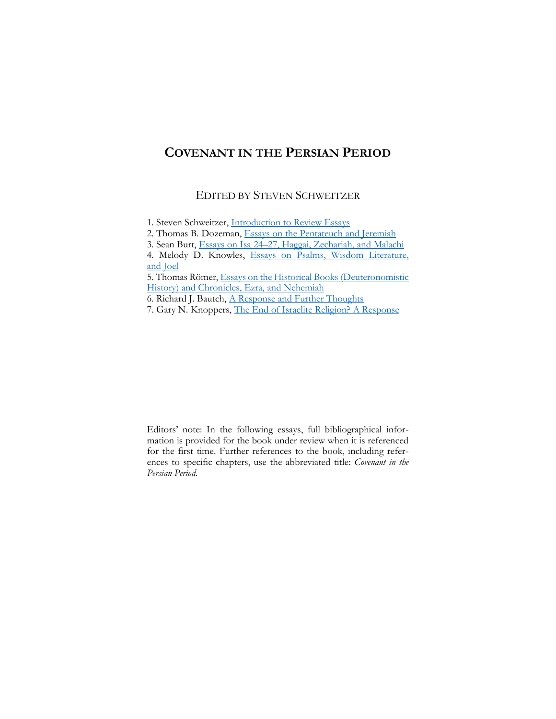## **COVENANT IN THE PERSIAN PERIOD**

#### EDITED BY STEVEN SCHWEITZER

2. Thomas B. Dozeman, [Essays on the Pentateuch and Jeremiah](#page-5-0)

4. Melody D. Knowles, Essays on [Psalms, Wisdom Literature,](#page-21-0)  and [Joel](#page-21-0)

5. Thomas Römer, [Essays on the Historical Books \(Deuteronomistic](#page-31-0)  [History\) and Chronicles, Ezra, and Nehemiah](#page-31-0)

Editors' note: In the following essays, full bibliographical information is provided for the book under review when it is referenced for the first time. Further references to the book, including references to specific chapters, use the abbreviated title: *Covenant in the Persian Period*.

<sup>1.</sup> Steven Schweitzer, [Introduction to Review Essays](#page-3-0)

<sup>3.</sup> Sean Burt, Essays on Isa 24–[27, Haggai, Zechariah, and Malachi](#page-13-0)

<sup>6.</sup> Richard J. Bautch, [A Response and Further Thoughts](#page-43-0)

<sup>7.</sup> Gary N. Knoppers, [The End of Israelite Religion? A Response](#page-49-0)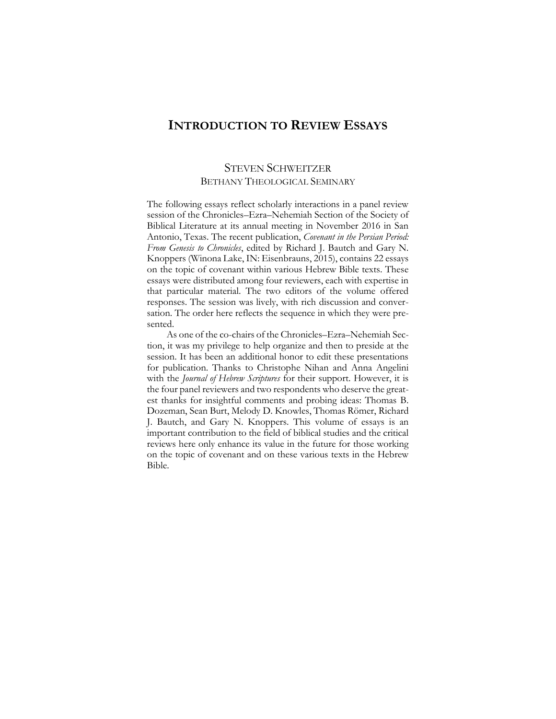### <span id="page-3-0"></span>**INTRODUCTION TO REVIEW ESSAYS**

#### STEVEN SCHWEITZER BETHANY THEOLOGICAL SEMINARY

The following essays reflect scholarly interactions in a panel review session of the Chronicles–Ezra–Nehemiah Section of the Society of Biblical Literature at its annual meeting in November 2016 in San Antonio, Texas. The recent publication, *Covenant in the Persian Period: From Genesis to Chronicles*, edited by Richard J. Bautch and Gary N. Knoppers (Winona Lake, IN: Eisenbrauns, 2015), contains 22 essays on the topic of covenant within various Hebrew Bible texts. These essays were distributed among four reviewers, each with expertise in that particular material. The two editors of the volume offered responses. The session was lively, with rich discussion and conversation. The order here reflects the sequence in which they were presented.

As one of the co-chairs of the Chronicles–Ezra–Nehemiah Section, it was my privilege to help organize and then to preside at the session. It has been an additional honor to edit these presentations for publication. Thanks to Christophe Nihan and Anna Angelini with the *Journal of Hebrew Scriptures* for their support. However, it is the four panel reviewers and two respondents who deserve the greatest thanks for insightful comments and probing ideas: Thomas B. Dozeman, Sean Burt, Melody D. Knowles, Thomas Römer, Richard J. Bautch, and Gary N. Knoppers. This volume of essays is an important contribution to the field of biblical studies and the critical reviews here only enhance its value in the future for those working on the topic of covenant and on these various texts in the Hebrew Bible.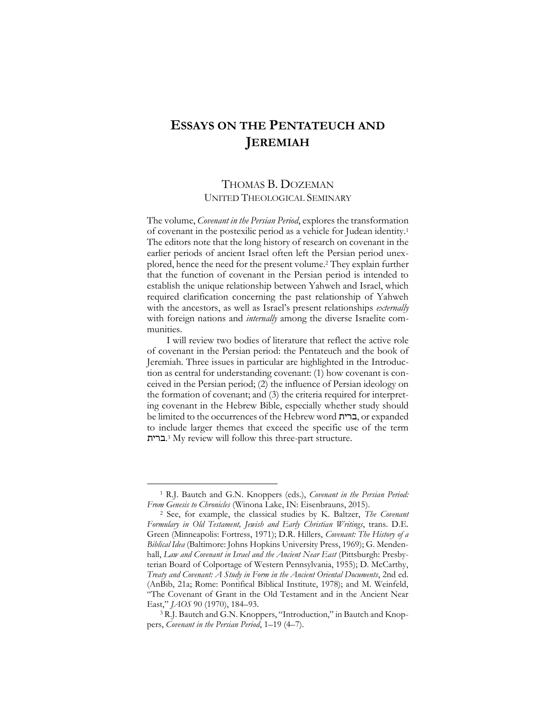## <span id="page-5-0"></span>**ESSAYS ON THE PENTATEUCH AND JEREMIAH**

#### THOMAS B. DOZEMAN UNITED THEOLOGICAL SEMINARY

The volume, *Covenant in the Persian Period*, explores the transformation of covenant in the postexilic period as a vehicle for Judean identity.<sup>1</sup> The editors note that the long history of research on covenant in the earlier periods of ancient Israel often left the Persian period unexplored, hence the need for the present volume.<sup>2</sup> They explain further that the function of covenant in the Persian period is intended to establish the unique relationship between Yahweh and Israel, which required clarification concerning the past relationship of Yahweh with the ancestors, as well as Israel's present relationships *externally* with foreign nations and *internally* among the diverse Israelite communities.

I will review two bodies of literature that reflect the active role of covenant in the Persian period: the Pentateuch and the book of Jeremiah. Three issues in particular are highlighted in the Introduction as central for understanding covenant: (1) how covenant is conceived in the Persian period; (2) the influence of Persian ideology on the formation of covenant; and (3) the criteria required for interpreting covenant in the Hebrew Bible, especially whether study should be limited to the occurrences of the Hebrew word ברית, or expanded to include larger themes that exceed the specific use of the term .ברית <sup>3</sup> My review will follow this three-part structure.

<sup>1</sup> R.J. Bautch and G.N. Knoppers (eds.), *Covenant in the Persian Period: From Genesis to Chronicles* (Winona Lake, IN: Eisenbrauns, 2015).

<sup>2</sup> See, for example, the classical studies by K. Baltzer, *The Covenant Formulary in Old Testament, Jewish and Early Christian Writings*, trans. D.E. Green (Minneapolis: Fortress, 1971); D.R. Hillers, *Covenant: The History of a Biblical Idea* (Baltimore: Johns Hopkins University Press, 1969); G. Mendenhall, *Law and Covenant in Israel and the Ancient Near East* (Pittsburgh: Presbyterian Board of Colportage of Western Pennsylvania, 1955); D. McCarthy, *Treaty and Covenant: A Study in Form in the Ancient Oriental Documents*, 2nd ed. (AnBib, 21a; Rome: Pontifical Biblical Institute, 1978); and M. Weinfeld, "The Covenant of Grant in the Old Testament and in the Ancient Near East," *JAOS* 90 (1970), 184–93.

<sup>3</sup> R.J. Bautch and G.N. Knoppers, "Introduction," in Bautch and Knoppers, *Covenant in the Persian Period*, 1–19 (4–7).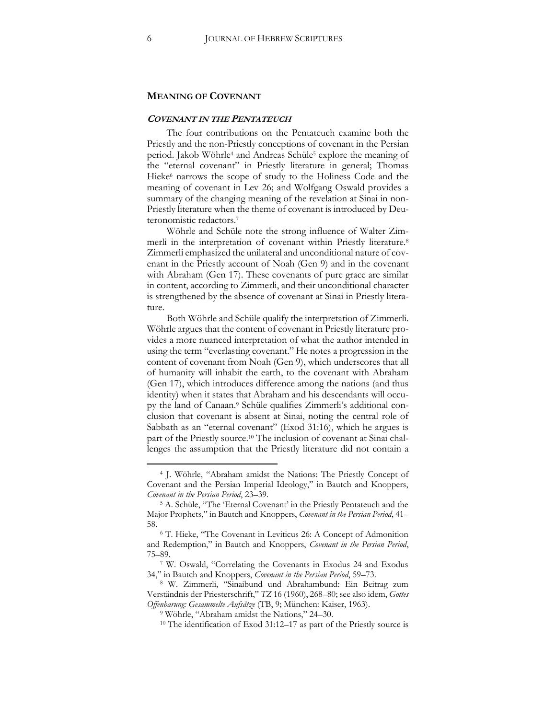#### **MEANING OF COVENANT**

#### **COVENANT IN THE PENTATEUCH**

The four contributions on the Pentateuch examine both the Priestly and the non-Priestly conceptions of covenant in the Persian period. Jakob Wöhrle<sup>4</sup> and Andreas Schüle<sup>5</sup> explore the meaning of the "eternal covenant" in Priestly literature in general; Thomas Hieke<sup>6</sup> narrows the scope of study to the Holiness Code and the meaning of covenant in Lev 26; and Wolfgang Oswald provides a summary of the changing meaning of the revelation at Sinai in non-Priestly literature when the theme of covenant is introduced by Deuteronomistic redactors.<sup>7</sup>

Wöhrle and Schüle note the strong influence of Walter Zimmerli in the interpretation of covenant within Priestly literature.<sup>8</sup> Zimmerli emphasized the unilateral and unconditional nature of covenant in the Priestly account of Noah (Gen 9) and in the covenant with Abraham (Gen 17). These covenants of pure grace are similar in content, according to Zimmerli, and their unconditional character is strengthened by the absence of covenant at Sinai in Priestly literature.

Both Wöhrle and Schüle qualify the interpretation of Zimmerli. Wöhrle argues that the content of covenant in Priestly literature provides a more nuanced interpretation of what the author intended in using the term "everlasting covenant." He notes a progression in the content of covenant from Noah (Gen 9), which underscores that all of humanity will inhabit the earth, to the covenant with Abraham (Gen 17), which introduces difference among the nations (and thus identity) when it states that Abraham and his descendants will occupy the land of Canaan.<sup>9</sup> Schüle qualifies Zimmerli's additional conclusion that covenant is absent at Sinai, noting the central role of Sabbath as an "eternal covenant" (Exod 31:16), which he argues is part of the Priestly source.<sup>10</sup> The inclusion of covenant at Sinai challenges the assumption that the Priestly literature did not contain a

<sup>4</sup> J. Wöhrle, "Abraham amidst the Nations: The Priestly Concept of Covenant and the Persian Imperial Ideology," in Bautch and Knoppers, *Covenant in the Persian Period*, 23–39.

<sup>5</sup> A. Schüle, "The 'Eternal Covenant' in the Priestly Pentateuch and the Major Prophets," in Bautch and Knoppers, *Covenant in the Persian Period*, 41– 58.

<sup>6</sup> T. Hieke, "The Covenant in Leviticus 26: A Concept of Admonition and Redemption," in Bautch and Knoppers, *Covenant in the Persian Period*, 75–89.

<sup>7</sup> W. Oswald, "Correlating the Covenants in Exodus 24 and Exodus 34," in Bautch and Knoppers, *Covenant in the Persian Period*, 59–73.

<sup>8</sup> W. Zimmerli, "Sinaibund und Abrahambund: Ein Beitrag zum Verständnis der Priesterschrift," *TZ* 16 (1960), 268–80; see also idem, *Gottes Offenbarung: Gesammelte Aufsätze* (TB, 9; München: Kaiser, 1963).

<sup>9</sup> Wöhrle, "Abraham amidst the Nations," 24–30.

<sup>10</sup> The identification of Exod 31:12–17 as part of the Priestly source is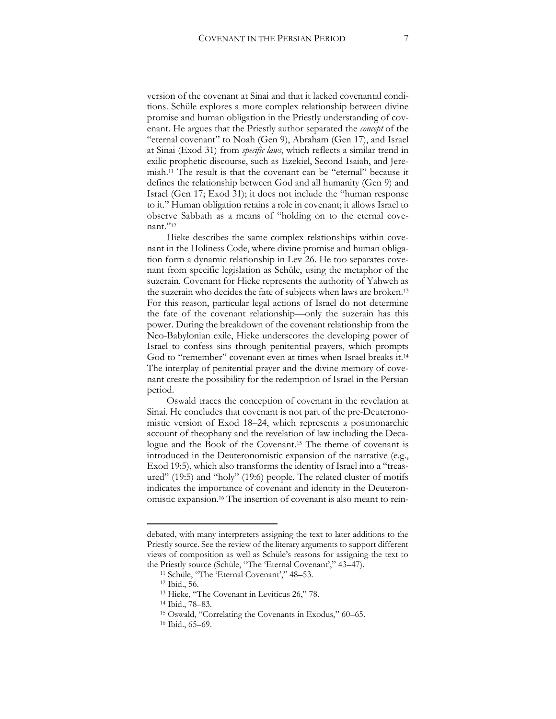version of the covenant at Sinai and that it lacked covenantal conditions. Schüle explores a more complex relationship between divine promise and human obligation in the Priestly understanding of covenant. He argues that the Priestly author separated the *concept* of the "eternal covenant" to Noah (Gen 9), Abraham (Gen 17), and Israel at Sinai (Exod 31) from *specific laws*, which reflects a similar trend in exilic prophetic discourse, such as Ezekiel, Second Isaiah, and Jeremiah.<sup>11</sup> The result is that the covenant can be "eternal" because it defines the relationship between God and all humanity (Gen 9) and Israel (Gen 17; Exod 31); it does not include the "human response to it." Human obligation retains a role in covenant; it allows Israel to observe Sabbath as a means of "holding on to the eternal covenant."12

Hieke describes the same complex relationships within covenant in the Holiness Code, where divine promise and human obligation form a dynamic relationship in Lev 26. He too separates covenant from specific legislation as Schüle, using the metaphor of the suzerain. Covenant for Hieke represents the authority of Yahweh as the suzerain who decides the fate of subjects when laws are broken.<sup>13</sup> For this reason, particular legal actions of Israel do not determine the fate of the covenant relationship—only the suzerain has this power. During the breakdown of the covenant relationship from the Neo-Babylonian exile, Hieke underscores the developing power of Israel to confess sins through penitential prayers, which prompts God to "remember" covenant even at times when Israel breaks it.<sup>14</sup> The interplay of penitential prayer and the divine memory of covenant create the possibility for the redemption of Israel in the Persian period.

Oswald traces the conception of covenant in the revelation at Sinai. He concludes that covenant is not part of the pre-Deuteronomistic version of Exod 18–24, which represents a postmonarchic account of theophany and the revelation of law including the Decalogue and the Book of the Covenant.<sup>15</sup> The theme of covenant is introduced in the Deuteronomistic expansion of the narrative (e.g., Exod 19:5), which also transforms the identity of Israel into a "treasured" (19:5) and "holy" (19:6) people. The related cluster of motifs indicates the importance of covenant and identity in the Deuteronomistic expansion.<sup>16</sup> The insertion of covenant is also meant to rein-

debated, with many interpreters assigning the text to later additions to the Priestly source. See the review of the literary arguments to support different views of composition as well as Schüle's reasons for assigning the text to the Priestly source (Schüle, "The 'Eternal Covenant'," 43–47).

<sup>11</sup> Schüle, "The 'Eternal Covenant'," 48–53.

<sup>12</sup> Ibid., 56.

<sup>13</sup> Hieke, "The Covenant in Leviticus 26," 78.

<sup>14</sup> Ibid., 78–83.

<sup>15</sup> Oswald, "Correlating the Covenants in Exodus," 60–65.

<sup>16</sup> Ibid., 65–69.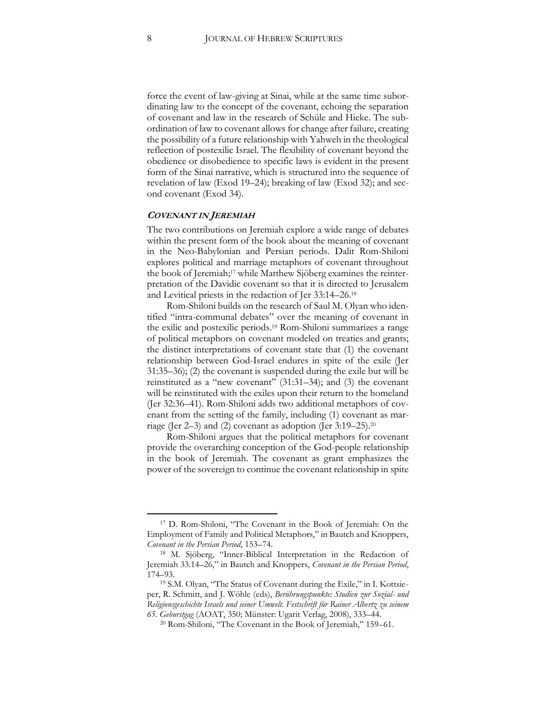force the event of law-giving at Sinai, while at the same time subordinating law to the concept of the covenant, echoing the separation of covenant and law in the research of Schüle and Hieke. The subordination of law to covenant allows for change after failure, creating the possibility of a future relationship with Yahweh in the theological reflection of postexilic Israel. The flexibility of covenant beyond the obedience or disobedience to specific laws is evident in the present form of the Sinai narrative, which is structured into the sequence of revelation of law (Exod 19–24); breaking of law (Exod 32); and second covenant (Exod 34).

#### **COVENANT IN JEREMIAH**

The two contributions on Jeremiah explore a wide range of debates within the present form of the book about the meaning of covenant in the Neo-Babylonian and Persian periods. Dalit Rom-Shiloni explores political and marriage metaphors of covenant throughout the book of Jeremiah;<sup>17</sup> while Matthew Sjöberg examines the reinterpretation of the Davidic covenant so that it is directed to Jerusalem and Levitical priests in the redaction of Jer 33:14–26.<sup>18</sup>

Rom-Shiloni builds on the research of Saul M. Olyan who identified "intra-communal debates" over the meaning of covenant in the exilic and postexilic periods.<sup>19</sup> Rom-Shiloni summarizes a range of political metaphors on covenant modeled on treaties and grants; the distinct interpretations of covenant state that (1) the covenant relationship between God-Israel endures in spite of the exile (Jer 31:35–36); (2) the covenant is suspended during the exile but will be reinstituted as a "new covenant" (31:31–34); and (3) the covenant will be reinstituted with the exiles upon their return to the homeland (Jer 32:36–41). Rom-Shiloni adds two additional metaphors of covenant from the setting of the family, including (1) covenant as marriage (Jer 2–3) and (2) covenant as adoption (Jer 3:19–25).<sup>20</sup>

Rom-Shiloni argues that the political metaphors for covenant provide the overarching conception of the God-people relationship in the book of Jeremiah. The covenant as grant emphasizes the power of the sovereign to continue the covenant relationship in spite

<sup>17</sup> D. Rom-Shiloni, "The Covenant in the Book of Jeremiah: On the Employment of Family and Political Metaphors," in Bautch and Knoppers, *Covenant in the Persian Period*, 153–74.

<sup>18</sup> M. Sjöberg, "Inner-Biblical Interpretation in the Redaction of Jeremiah 33.14–26," in Bautch and Knoppers, *Covenant in the Persian Period*, 174–93.

<sup>19</sup> S.M. Olyan, "The Status of Covenant during the Exile," in I. Kottsieper, R. Schmitt, and J. Wöhle (eds), *Berührungspunkte: Studien zur Sozial- und Religionsgeschichte Israels und seiner Umwelt. Festschrift für Rainer Albertz zu seinem 65. Geburstgag* (AOAT, 350; Münster: Ugarit Verlag, 2008), 333–44.

<sup>20</sup> Rom-Shiloni, "The Covenant in the Book of Jeremiah," 159–61.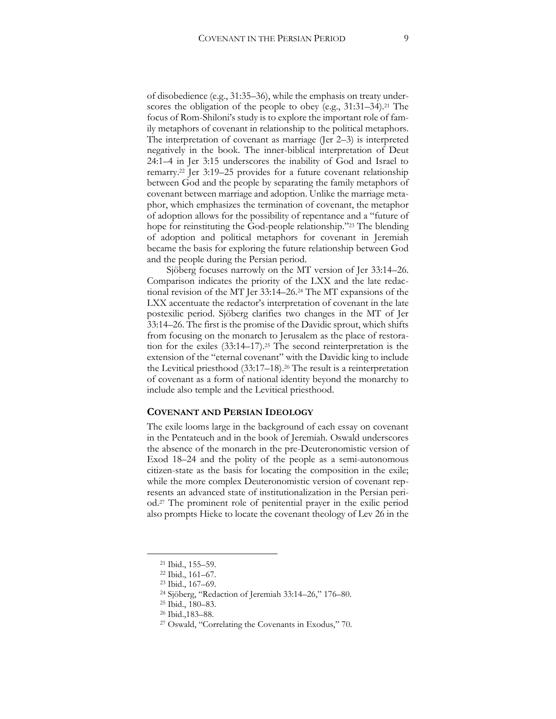of disobedience (e.g., 31:35–36), while the emphasis on treaty underscores the obligation of the people to obey (e.g., 31:31–34).<sup>21</sup> The focus of Rom-Shiloni's study is to explore the important role of family metaphors of covenant in relationship to the political metaphors. The interpretation of covenant as marriage (Jer 2–3) is interpreted negatively in the book. The inner-biblical interpretation of Deut 24:1–4 in Jer 3:15 underscores the inability of God and Israel to remarry.<sup>22</sup> Jer 3:19–25 provides for a future covenant relationship between God and the people by separating the family metaphors of covenant between marriage and adoption. Unlike the marriage metaphor, which emphasizes the termination of covenant, the metaphor of adoption allows for the possibility of repentance and a "future of hope for reinstituting the God-people relationship."<sup>23</sup> The blending of adoption and political metaphors for covenant in Jeremiah became the basis for exploring the future relationship between God and the people during the Persian period.

Sjöberg focuses narrowly on the MT version of Jer 33:14–26. Comparison indicates the priority of the LXX and the late redactional revision of the MT Jer 33:14–26.<sup>24</sup> The MT expansions of the LXX accentuate the redactor's interpretation of covenant in the late postexilic period. Sjöberg clarifies two changes in the MT of Jer 33:14–26. The first is the promise of the Davidic sprout, which shifts from focusing on the monarch to Jerusalem as the place of restoration for the exiles (33:14–17).<sup>25</sup> The second reinterpretation is the extension of the "eternal covenant" with the Davidic king to include the Levitical priesthood (33:17–18).<sup>26</sup> The result is a reinterpretation of covenant as a form of national identity beyond the monarchy to include also temple and the Levitical priesthood.

#### **COVENANT AND PERSIAN IDEOLOGY**

The exile looms large in the background of each essay on covenant in the Pentateuch and in the book of Jeremiah. Oswald underscores the absence of the monarch in the pre-Deuteronomistic version of Exod 18–24 and the polity of the people as a semi-autonomous citizen-state as the basis for locating the composition in the exile; while the more complex Deuteronomistic version of covenant represents an advanced state of institutionalization in the Persian period.<sup>27</sup> The prominent role of penitential prayer in the exilic period also prompts Hieke to locate the covenant theology of Lev 26 in the

<sup>21</sup> Ibid., 155–59.

<sup>22</sup> Ibid., 161–67.

<sup>23</sup> Ibid., 167–69.

<sup>24</sup> Sjöberg, "Redaction of Jeremiah 33:14–26," 176–80.

<sup>25</sup> Ibid., 180–83.

<sup>26</sup> Ibid.,183–88.

<sup>27</sup> Oswald, "Correlating the Covenants in Exodus," 70.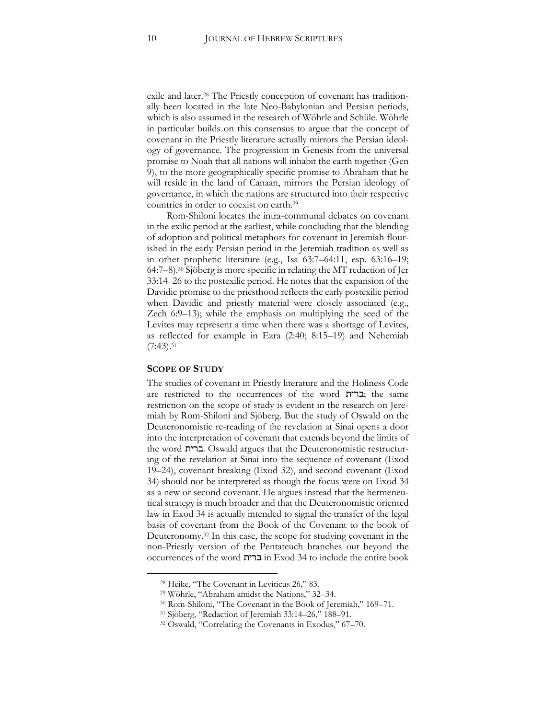exile and later.<sup>28</sup> The Priestly conception of covenant has traditionally been located in the late Neo-Babylonian and Persian periods, which is also assumed in the research of Wöhrle and Schüle. Wöhrle in particular builds on this consensus to argue that the concept of covenant in the Priestly literature actually mirrors the Persian ideology of governance. The progression in Genesis from the universal promise to Noah that all nations will inhabit the earth together (Gen 9), to the more geographically specific promise to Abraham that he will reside in the land of Canaan, mirrors the Persian ideology of governance, in which the nations are structured into their respective countries in order to coexist on earth.<sup>29</sup>

Rom-Shiloni locates the intra-communal debates on covenant in the exilic period at the earliest, while concluding that the blending of adoption and political metaphors for covenant in Jeremiah flourished in the early Persian period in the Jeremiah tradition as well as in other prophetic literature (e.g., Isa 63:7–64:11, esp. 63:16–19; 64:7–8).<sup>30</sup> Sjöberg is more specific in relating the MT redaction of Jer 33:14–26 to the postexilic period. He notes that the expansion of the Davidic promise to the priesthood reflects the early postexilic period when Davidic and priestly material were closely associated (e.g., Zech 6:9–13); while the emphasis on multiplying the seed of the Levites may represent a time when there was a shortage of Levites, as reflected for example in Ezra (2:40; 8:15–19) and Nehemiah  $(7:43).^{31}$ 

#### **SCOPE OF STUDY**

 $\overline{a}$ 

The studies of covenant in Priestly literature and the Holiness Code are restricted to the occurrences of the word ברית; the same restriction on the scope of study is evident in the research on Jeremiah by Rom-Shiloni and Sjöberg. But the study of Oswald on the Deuteronomistic re-reading of the revelation at Sinai opens a door into the interpretation of covenant that extends beyond the limits of the word ברית. Oswald argues that the Deuteronomistic restructuring of the revelation at Sinai into the sequence of covenant (Exod 19–24), covenant breaking (Exod 32), and second covenant (Exod 34) should not be interpreted as though the focus were on Exod 34 as a new or second covenant. He argues instead that the hermeneutical strategy is much broader and that the Deuteronomistic oriented law in Exod 34 is actually intended to signal the transfer of the legal basis of covenant from the Book of the Covenant to the book of Deuteronomy.<sup>32</sup> In this case, the scope for studying covenant in the non-Priestly version of the Pentateuch branches out beyond the occurrences of the word ברית in Exod 34 to include the entire book

<sup>28</sup> Heike, "The Covenant in Leviticus 26," 83.

<sup>29</sup> Wöhrle, "Abraham amidst the Nations," 32–34.

<sup>30</sup> Rom-Shiloni, "The Covenant in the Book of Jeremiah," 169–71.

<sup>31</sup> Sjöberg, "Redaction of Jeremiah 33:14–26," 188–91.

<sup>32</sup> Oswald, "Correlating the Covenants in Exodus," 67–70.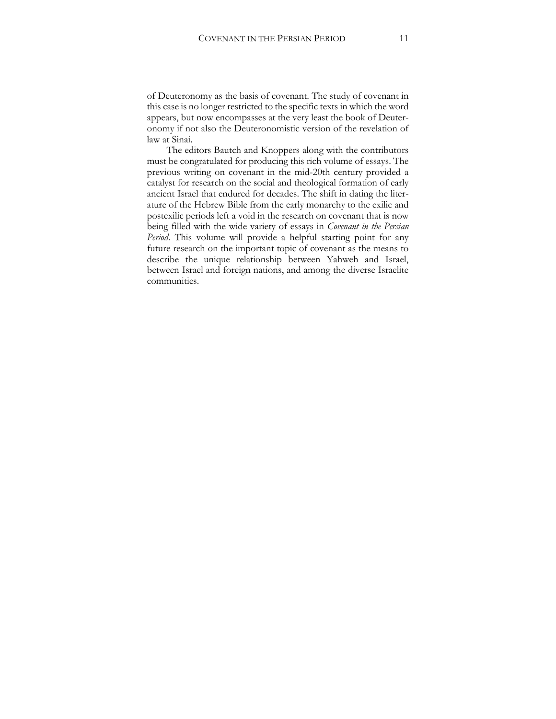of Deuteronomy as the basis of covenant. The study of covenant in this case is no longer restricted to the specific texts in which the word appears, but now encompasses at the very least the book of Deuteronomy if not also the Deuteronomistic version of the revelation of law at Sinai.

The editors Bautch and Knoppers along with the contributors must be congratulated for producing this rich volume of essays. The previous writing on covenant in the mid-20th century provided a catalyst for research on the social and theological formation of early ancient Israel that endured for decades. The shift in dating the literature of the Hebrew Bible from the early monarchy to the exilic and postexilic periods left a void in the research on covenant that is now being filled with the wide variety of essays in *Covenant in the Persian Period*. This volume will provide a helpful starting point for any future research on the important topic of covenant as the means to describe the unique relationship between Yahweh and Israel, between Israel and foreign nations, and among the diverse Israelite communities.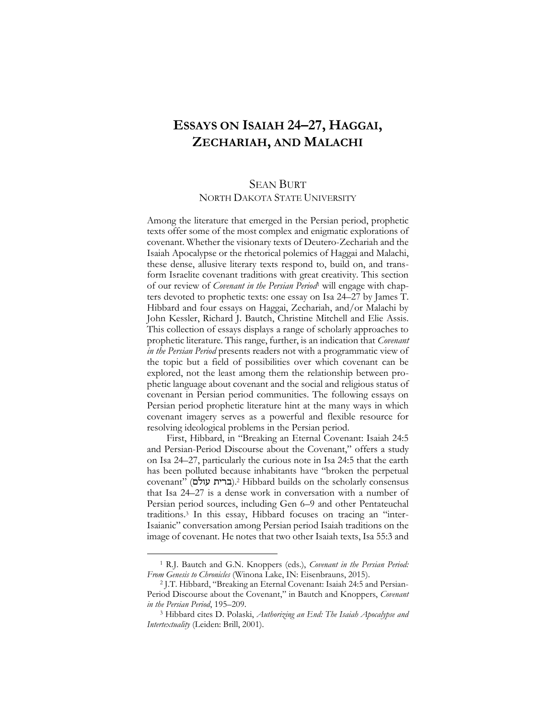## <span id="page-13-0"></span>**ESSAYS ON ISAIAH 24–27, HAGGAI, ZECHARIAH, AND MALACHI**

### SEAN BURT NORTH DAKOTA STATE UNIVERSITY

Among the literature that emerged in the Persian period, prophetic texts offer some of the most complex and enigmatic explorations of covenant. Whether the visionary texts of Deutero-Zechariah and the Isaiah Apocalypse or the rhetorical polemics of Haggai and Malachi, these dense, allusive literary texts respond to, build on, and transform Israelite covenant traditions with great creativity. This section of our review of *Covenant in the Persian Period*<sup>1</sup> will engage with chapters devoted to prophetic texts: one essay on Isa 24–27 by James T. Hibbard and four essays on Haggai, Zechariah, and/or Malachi by John Kessler, Richard J. Bautch, Christine Mitchell and Elie Assis. This collection of essays displays a range of scholarly approaches to prophetic literature. This range, further, is an indication that *Covenant in the Persian Period* presents readers not with a programmatic view of the topic but a field of possibilities over which covenant can be explored, not the least among them the relationship between prophetic language about covenant and the social and religious status of covenant in Persian period communities. The following essays on Persian period prophetic literature hint at the many ways in which covenant imagery serves as a powerful and flexible resource for resolving ideological problems in the Persian period.

First, Hibbard, in "Breaking an Eternal Covenant: Isaiah 24:5 and Persian-Period Discourse about the Covenant," offers a study on Isa 24–27, particularly the curious note in Isa 24:5 that the earth has been polluted because inhabitants have "broken the perpetual covenant" (ברית עולם).<sup>2</sup> Hibbard builds on the scholarly consensus that Isa 24–27 is a dense work in conversation with a number of Persian period sources, including Gen 6–9 and other Pentateuchal traditions.<sup>3</sup> In this essay, Hibbard focuses on tracing an "inter-Isaianic" conversation among Persian period Isaiah traditions on the image of covenant. He notes that two other Isaiah texts, Isa 55:3 and

<sup>1</sup> R.J. Bautch and G.N. Knoppers (eds.), *Covenant in the Persian Period: From Genesis to Chronicles* (Winona Lake, IN: Eisenbrauns, 2015).

<sup>2</sup> J.T. Hibbard, "Breaking an Eternal Covenant: Isaiah 24:5 and Persian-Period Discourse about the Covenant," in Bautch and Knoppers, *Covenant in the Persian Period*, 195–209.

<sup>3</sup> Hibbard cites D. Polaski, *Authorizing an End: The Isaiah Apocalypse and Intertextuality* (Leiden: Brill, 2001).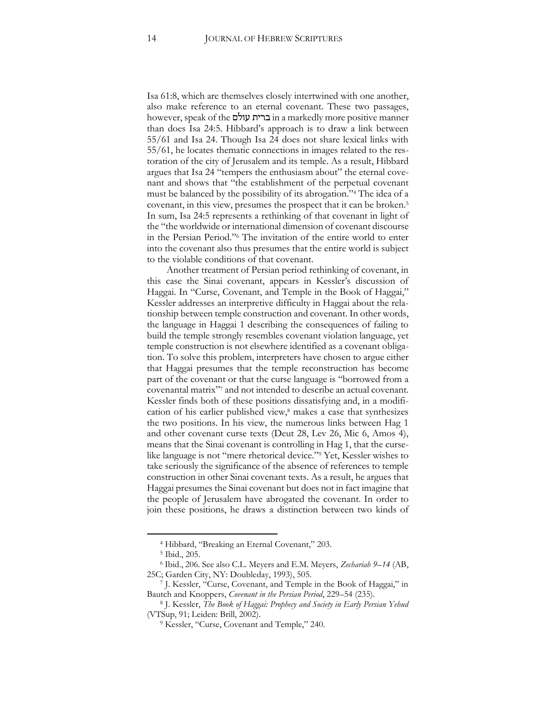Isa 61:8, which are themselves closely intertwined with one another, also make reference to an eternal covenant. These two passages, however, speak of the עולם ברית in a markedly more positive manner than does Isa 24:5. Hibbard's approach is to draw a link between 55/61 and Isa 24. Though Isa 24 does not share lexical links with 55/61, he locates thematic connections in images related to the restoration of the city of Jerusalem and its temple. As a result, Hibbard argues that Isa 24 "tempers the enthusiasm about" the eternal covenant and shows that "the establishment of the perpetual covenant must be balanced by the possibility of its abrogation."<sup>4</sup> The idea of a covenant, in this view, presumes the prospect that it can be broken.<sup>5</sup> In sum, Isa 24:5 represents a rethinking of that covenant in light of the "the worldwide or international dimension of covenant discourse in the Persian Period."<sup>6</sup> The invitation of the entire world to enter into the covenant also thus presumes that the entire world is subject to the violable conditions of that covenant.

Another treatment of Persian period rethinking of covenant, in this case the Sinai covenant, appears in Kessler's discussion of Haggai. In "Curse, Covenant, and Temple in the Book of Haggai," Kessler addresses an interpretive difficulty in Haggai about the relationship between temple construction and covenant. In other words, the language in Haggai 1 describing the consequences of failing to build the temple strongly resembles covenant violation language, yet temple construction is not elsewhere identified as a covenant obligation. To solve this problem, interpreters have chosen to argue either that Haggai presumes that the temple reconstruction has become part of the covenant or that the curse language is "borrowed from a covenantal matrix"<sup>7</sup> and not intended to describe an actual covenant. Kessler finds both of these positions dissatisfying and, in a modification of his earlier published view,<sup>8</sup> makes a case that synthesizes the two positions. In his view, the numerous links between Hag 1 and other covenant curse texts (Deut 28, Lev 26, Mic 6, Amos 4), means that the Sinai covenant is controlling in Hag 1, that the curselike language is not "mere rhetorical device."<sup>9</sup> Yet, Kessler wishes to take seriously the significance of the absence of references to temple construction in other Sinai covenant texts. As a result, he argues that Haggai presumes the Sinai covenant but does not in fact imagine that the people of Jerusalem have abrogated the covenant. In order to join these positions, he draws a distinction between two kinds of

<sup>4</sup> Hibbard, "Breaking an Eternal Covenant," 203.

<sup>5</sup> Ibid., 205.

<sup>6</sup> Ibid., 206. See also C.L. Meyers and E.M. Meyers, *Zechariah 9–14* (AB, 25C; Garden City, NY: Doubleday, 1993), 505.

<sup>7</sup> J. Kessler, "Curse, Covenant, and Temple in the Book of Haggai," in Bautch and Knoppers, *Covenant in the Persian Period*, 229–54 (235).

<sup>8</sup> J. Kessler, *The Book of Haggai: Prophecy and Society in Early Persian Yehud*  (VTSup, 91; Leiden: Brill, 2002).

<sup>&</sup>lt;sup>9</sup> Kessler, "Curse, Covenant and Temple," 240.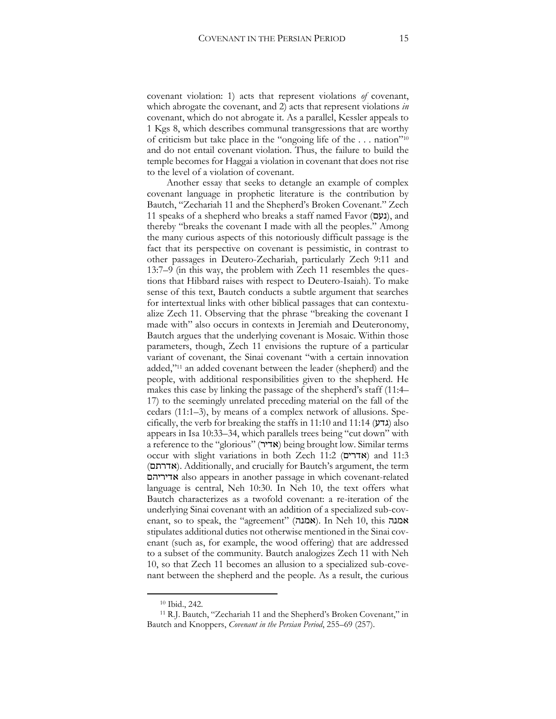covenant violation: 1) acts that represent violations *of* covenant, which abrogate the covenant, and 2) acts that represent violations *in* covenant, which do not abrogate it. As a parallel, Kessler appeals to 1 Kgs 8, which describes communal transgressions that are worthy of criticism but take place in the "ongoing life of the . . . nation"<sup>10</sup> and do not entail covenant violation. Thus, the failure to build the temple becomes for Haggai a violation in covenant that does not rise to the level of a violation of covenant.

Another essay that seeks to detangle an example of complex covenant language in prophetic literature is the contribution by Bautch, "Zechariah 11 and the Shepherd's Broken Covenant." Zech 11 speaks of a shepherd who breaks a staff named Favor (נעם), and thereby "breaks the covenant I made with all the peoples." Among the many curious aspects of this notoriously difficult passage is the fact that its perspective on covenant is pessimistic, in contrast to other passages in Deutero-Zechariah, particularly Zech 9:11 and 13:7–9 (in this way, the problem with Zech 11 resembles the questions that Hibbard raises with respect to Deutero-Isaiah). To make sense of this text, Bautch conducts a subtle argument that searches for intertextual links with other biblical passages that can contextualize Zech 11. Observing that the phrase "breaking the covenant I made with" also occurs in contexts in Jeremiah and Deuteronomy, Bautch argues that the underlying covenant is Mosaic. Within those parameters, though, Zech 11 envisions the rupture of a particular variant of covenant, the Sinai covenant "with a certain innovation added,"<sup>11</sup> an added covenant between the leader (shepherd) and the people, with additional responsibilities given to the shepherd. He makes this case by linking the passage of the shepherd's staff (11:4– 17) to the seemingly unrelated preceding material on the fall of the cedars (11:1–3), by means of a complex network of allusions. Specifically, the verb for breaking the staffs in 11:10 and 11:14  $(\text{UTX})$  also appears in Isa 10:33–34, which parallels trees being "cut down" with a reference to the "glorious" (אדיר) being brought low. Similar terms occur with slight variations in both Zech 11:2 (אדרים (and 11:3 (אדרתם(. Additionally, and crucially for Bautch's argument, the term אדיריהם also appears in another passage in which covenant-related language is central, Neh 10:30. In Neh 10, the text offers what Bautch characterizes as a twofold covenant: a re-iteration of the underlying Sinai covenant with an addition of a specialized sub-covenant, so to speak, the "agreement" (אמנה). In Neh 10, this אמנה stipulates additional duties not otherwise mentioned in the Sinai covenant (such as, for example, the wood offering) that are addressed to a subset of the community. Bautch analogizes Zech 11 with Neh 10, so that Zech 11 becomes an allusion to a specialized sub-covenant between the shepherd and the people. As a result, the curious

<sup>10</sup> Ibid., 242.

<sup>11</sup> R.J. Bautch, "Zechariah 11 and the Shepherd's Broken Covenant," in Bautch and Knoppers, *Covenant in the Persian Period*, 255–69 (257).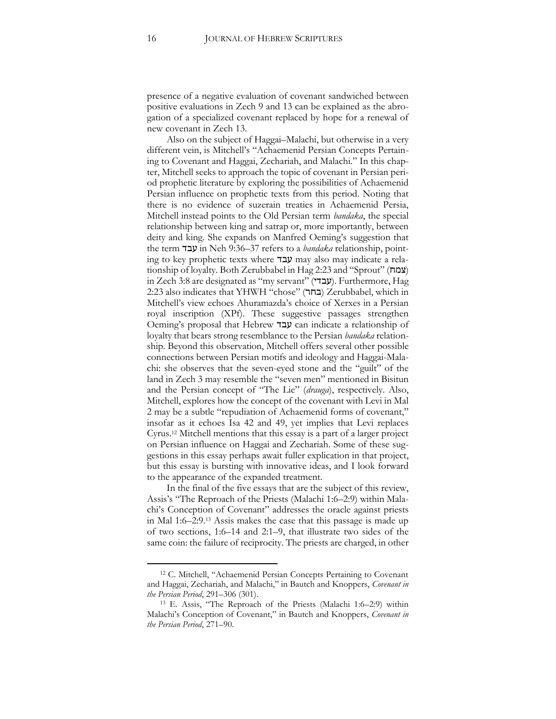presence of a negative evaluation of covenant sandwiched between positive evaluations in Zech 9 and 13 can be explained as the abrogation of a specialized covenant replaced by hope for a renewal of new covenant in Zech 13.

Also on the subject of Haggai–Malachi, but otherwise in a very different vein, is Mitchell's "Achaemenid Persian Concepts Pertaining to Covenant and Haggai, Zechariah, and Malachi." In this chapter, Mitchell seeks to approach the topic of covenant in Persian period prophetic literature by exploring the possibilities of Achaemenid Persian influence on prophetic texts from this period. Noting that there is no evidence of suzerain treaties in Achaemenid Persia, Mitchell instead points to the Old Persian term *bandaka*, the special relationship between king and satrap or, more importantly, between deity and king. She expands on Manfred Oeming's suggestion that the term עבד in Neh 9:36–37 refers to a *bandaka* relationship, pointing to key prophetic texts where עבד may also may indicate a relationship of loyalty. Both Zerubbabel in Hag 2:23 and "Sprout" (צמח in Zech 3:8 are designated as "my servant" (עבדי). Furthermore, Hag 2:23 also indicates that YHWH "chose" (בחר) Zerubbabel, which in Mitchell's view echoes Ahuramazda's choice of Xerxes in a Persian royal inscription (XPf). These suggestive passages strengthen Oeming's proposal that Hebrew עבד can indicate a relationship of loyalty that bears strong resemblance to the Persian *bandaka* relationship. Beyond this observation, Mitchell offers several other possible connections between Persian motifs and ideology and Haggai-Malachi: she observes that the seven-eyed stone and the "guilt" of the land in Zech 3 may resemble the "seven men" mentioned in Bisitun and the Persian concept of "The Lie" (*drauga*), respectively. Also, Mitchell, explores how the concept of the covenant with Levi in Mal 2 may be a subtle "repudiation of Achaemenid forms of covenant," insofar as it echoes Isa 42 and 49, yet implies that Levi replaces Cyrus.<sup>12</sup> Mitchell mentions that this essay is a part of a larger project on Persian influence on Haggai and Zechariah. Some of these suggestions in this essay perhaps await fuller explication in that project, but this essay is bursting with innovative ideas, and I look forward to the appearance of the expanded treatment.

In the final of the five essays that are the subject of this review, Assis's "The Reproach of the Priests (Malachi 1:6–2:9) within Malachi's Conception of Covenant" addresses the oracle against priests in Mal 1:6–2:9.<sup>13</sup> Assis makes the case that this passage is made up of two sections, 1:6–14 and 2:1–9, that illustrate two sides of the same coin: the failure of reciprocity. The priests are charged, in other

<sup>12</sup> C. Mitchell, "Achaemenid Persian Concepts Pertaining to Covenant and Haggai, Zechariah, and Malachi," in Bautch and Knoppers, *Covenant in the Persian Period*, 291–306 (301).

<sup>13</sup> E. Assis, "The Reproach of the Priests (Malachi 1:6–2:9) within Malachi's Conception of Covenant," in Bautch and Knoppers, *Covenant in the Persian Period*, 271–90.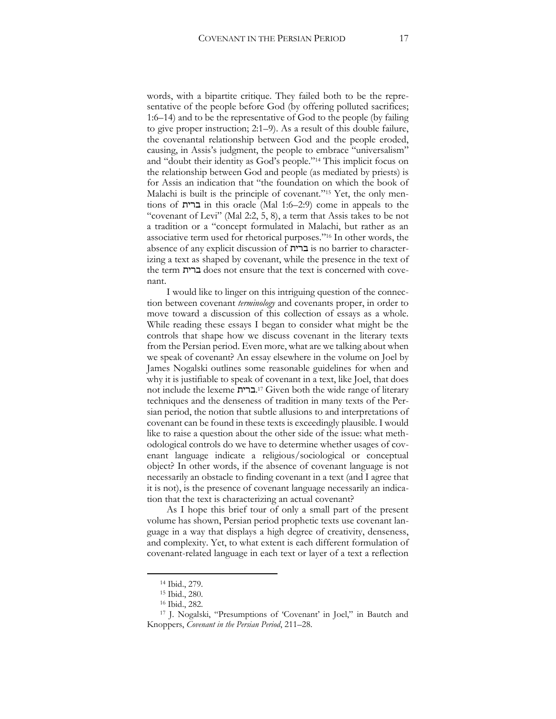words, with a bipartite critique. They failed both to be the representative of the people before God (by offering polluted sacrifices; 1:6–14) and to be the representative of God to the people (by failing to give proper instruction; 2:1–9). As a result of this double failure, the covenantal relationship between God and the people eroded, causing, in Assis's judgment, the people to embrace "universalism" and "doubt their identity as God's people."<sup>14</sup> This implicit focus on the relationship between God and people (as mediated by priests) is for Assis an indication that "the foundation on which the book of Malachi is built is the principle of covenant."<sup>15</sup> Yet, the only mentions of ברית in this oracle (Mal 1:6–2:9) come in appeals to the "covenant of Levi" (Mal 2:2, 5, 8), a term that Assis takes to be not a tradition or a "concept formulated in Malachi, but rather as an associative term used for rhetorical purposes."<sup>16</sup> In other words, the absence of any explicit discussion of ברית is no barrier to characterizing a text as shaped by covenant, while the presence in the text of the term ברית does not ensure that the text is concerned with covenant.

I would like to linger on this intriguing question of the connection between covenant *terminology* and covenants proper, in order to move toward a discussion of this collection of essays as a whole. While reading these essays I began to consider what might be the controls that shape how we discuss covenant in the literary texts from the Persian period. Even more, what are we talking about when we speak of covenant? An essay elsewhere in the volume on Joel by James Nogalski outlines some reasonable guidelines for when and why it is justifiable to speak of covenant in a text, like Joel, that does not include the lexeme ברית.<sup>17</sup> Given both the wide range of literary techniques and the denseness of tradition in many texts of the Persian period, the notion that subtle allusions to and interpretations of covenant can be found in these texts is exceedingly plausible. I would like to raise a question about the other side of the issue: what methodological controls do we have to determine whether usages of covenant language indicate a religious/sociological or conceptual object? In other words, if the absence of covenant language is not necessarily an obstacle to finding covenant in a text (and I agree that it is not), is the presence of covenant language necessarily an indication that the text is characterizing an actual covenant?

As I hope this brief tour of only a small part of the present volume has shown, Persian period prophetic texts use covenant language in a way that displays a high degree of creativity, denseness, and complexity. Yet, to what extent is each different formulation of covenant-related language in each text or layer of a text a reflection

<sup>14</sup> Ibid., 279.

<sup>15</sup> Ibid., 280.

<sup>16</sup> Ibid., 282.

<sup>17</sup> J. Nogalski, "Presumptions of 'Covenant' in Joel," in Bautch and Knoppers, *Covenant in the Persian Period*, 211–28.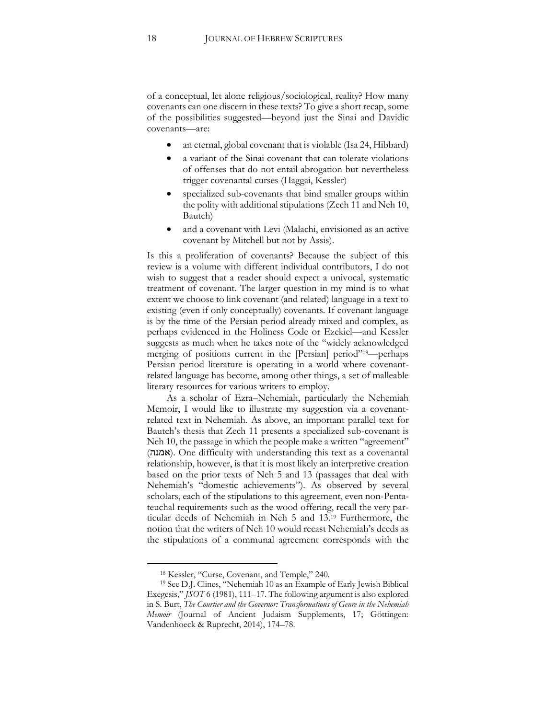of a conceptual, let alone religious/sociological, reality? How many covenants can one discern in these texts? To give a short recap, some of the possibilities suggested—beyond just the Sinai and Davidic covenants—are:

- an eternal, global covenant that is violable (Isa 24, Hibbard)
- a variant of the Sinai covenant that can tolerate violations of offenses that do not entail abrogation but nevertheless trigger covenantal curses (Haggai, Kessler)
- specialized sub-covenants that bind smaller groups within the polity with additional stipulations (Zech 11 and Neh 10, Bautch)
- and a covenant with Levi (Malachi, envisioned as an active covenant by Mitchell but not by Assis).

Is this a proliferation of covenants? Because the subject of this review is a volume with different individual contributors, I do not wish to suggest that a reader should expect a univocal, systematic treatment of covenant. The larger question in my mind is to what extent we choose to link covenant (and related) language in a text to existing (even if only conceptually) covenants. If covenant language is by the time of the Persian period already mixed and complex, as perhaps evidenced in the Holiness Code or Ezekiel—and Kessler suggests as much when he takes note of the "widely acknowledged merging of positions current in the [Persian] period"<sup>18</sup>—perhaps Persian period literature is operating in a world where covenantrelated language has become, among other things, a set of malleable literary resources for various writers to employ.

As a scholar of Ezra–Nehemiah, particularly the Nehemiah Memoir, I would like to illustrate my suggestion via a covenantrelated text in Nehemiah. As above, an important parallel text for Bautch's thesis that Zech 11 presents a specialized sub-covenant is Neh 10, the passage in which the people make a written "agreement" (אמנה). One difficulty with understanding this text as a covenantal relationship, however, is that it is most likely an interpretive creation based on the prior texts of Neh 5 and 13 (passages that deal with Nehemiah's "domestic achievements"). As observed by several scholars, each of the stipulations to this agreement, even non-Pentateuchal requirements such as the wood offering, recall the very particular deeds of Nehemiah in Neh 5 and 13.<sup>19</sup> Furthermore, the notion that the writers of Neh 10 would recast Nehemiah's deeds as the stipulations of a communal agreement corresponds with the

<sup>18</sup> Kessler, "Curse, Covenant, and Temple," 240.

<sup>19</sup> See D.J. Clines, "Nehemiah 10 as an Example of Early Jewish Biblical Exegesis," *JSOT* 6 (1981), 111–17. The following argument is also explored in S. Burt, *The Courtier and the Governor: Transformations of Genre in the Nehemiah Memoir* (Journal of Ancient Judaism Supplements, 17; Göttingen: Vandenhoeck & Ruprecht, 2014), 174–78.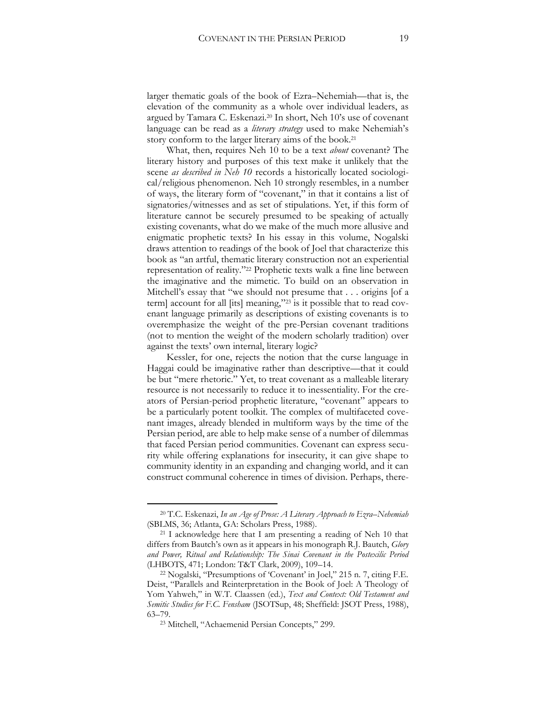larger thematic goals of the book of Ezra–Nehemiah—that is, the elevation of the community as a whole over individual leaders, as argued by Tamara C. Eskenazi.<sup>20</sup> In short, Neh 10's use of covenant language can be read as a *literary strategy* used to make Nehemiah's story conform to the larger literary aims of the book.<sup>21</sup>

What, then, requires Neh 10 to be a text *about* covenant? The literary history and purposes of this text make it unlikely that the scene *as described in Neh 10* records a historically located sociological/religious phenomenon. Neh 10 strongly resembles, in a number of ways, the literary form of "covenant," in that it contains a list of signatories/witnesses and as set of stipulations. Yet, if this form of literature cannot be securely presumed to be speaking of actually existing covenants, what do we make of the much more allusive and enigmatic prophetic texts? In his essay in this volume, Nogalski draws attention to readings of the book of Joel that characterize this book as "an artful, thematic literary construction not an experiential representation of reality."<sup>22</sup> Prophetic texts walk a fine line between the imaginative and the mimetic. To build on an observation in Mitchell's essay that "we should not presume that . . . origins [of a term] account for all [its] meaning,"<sup>23</sup> is it possible that to read covenant language primarily as descriptions of existing covenants is to overemphasize the weight of the pre-Persian covenant traditions (not to mention the weight of the modern scholarly tradition) over against the texts' own internal, literary logic?

Kessler, for one, rejects the notion that the curse language in Haggai could be imaginative rather than descriptive—that it could be but "mere rhetoric." Yet, to treat covenant as a malleable literary resource is not necessarily to reduce it to inessentiality. For the creators of Persian-period prophetic literature, "covenant" appears to be a particularly potent toolkit. The complex of multifaceted covenant images, already blended in multiform ways by the time of the Persian period, are able to help make sense of a number of dilemmas that faced Persian period communities. Covenant can express security while offering explanations for insecurity, it can give shape to community identity in an expanding and changing world, and it can construct communal coherence in times of division. Perhaps, there-

<sup>20</sup> T.C. Eskenazi, *In an Age of Prose: A Literary Approach to Ezra*–*Nehemiah*  (SBLMS, 36; Atlanta, GA: Scholars Press, 1988).

 $21$  I acknowledge here that I am presenting a reading of Neh 10 that differs from Bautch's own as it appears in his monograph R.J. Bautch, *Glory and Power, Ritual and Relationship: The Sinai Covenant in the Postexilic Period*  (LHBOTS, 471; London: T&T Clark, 2009), 109–14.

<sup>22</sup> Nogalski, "Presumptions of 'Covenant' in Joel," 215 n. 7, citing F.E. Deist, "Parallels and Reinterpretation in the Book of Joel: A Theology of Yom Yahweh," in W.T. Claassen (ed.), *Text and Context: Old Testament and Semitic Studies for F.C. Fensham* (JSOTSup, 48; Sheffield: JSOT Press, 1988), 63–79.

<sup>23</sup> Mitchell, "Achaemenid Persian Concepts," 299.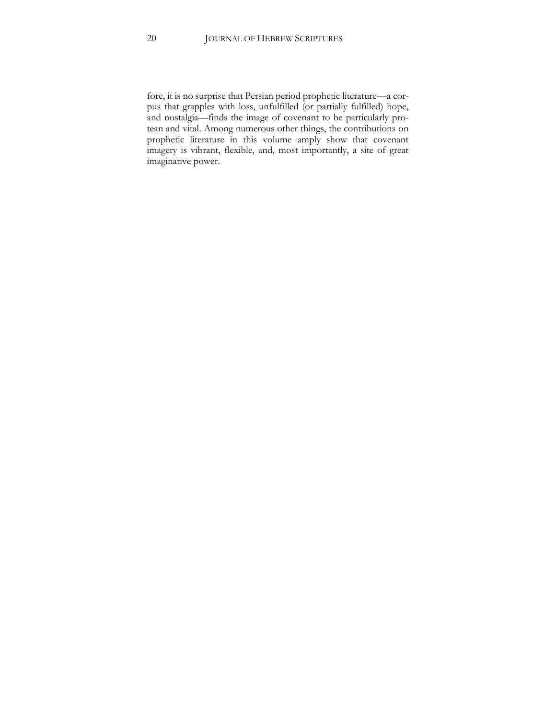fore, it is no surprise that Persian period prophetic literature—a corpus that grapples with loss, unfulfilled (or partially fulfilled) hope, and nostalgia—finds the image of covenant to be particularly protean and vital. Among numerous other things, the contributions on prophetic literature in this volume amply show that covenant imagery is vibrant, flexible, and, most importantly, a site of great imaginative power.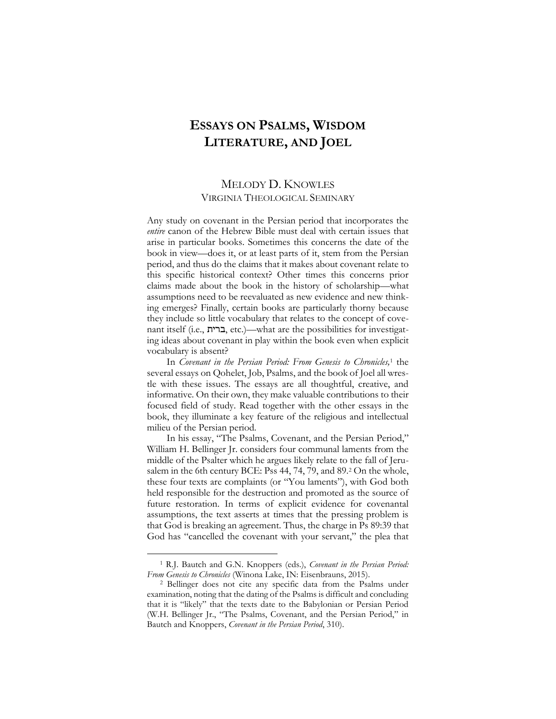## <span id="page-21-0"></span>**ESSAYS ON PSALMS, WISDOM LITERATURE, AND JOEL**

#### MELODY D. KNOWLES VIRGINIA THEOLOGICAL SEMINARY

Any study on covenant in the Persian period that incorporates the *entire* canon of the Hebrew Bible must deal with certain issues that arise in particular books. Sometimes this concerns the date of the book in view—does it, or at least parts of it, stem from the Persian period, and thus do the claims that it makes about covenant relate to this specific historical context? Other times this concerns prior claims made about the book in the history of scholarship—what assumptions need to be reevaluated as new evidence and new thinking emerges? Finally, certain books are particularly thorny because they include so little vocabulary that relates to the concept of covenant itself (i.e., ברית, etc.)—what are the possibilities for investigating ideas about covenant in play within the book even when explicit vocabulary is absent?

In *Covenant in the Persian Period: From Genesis to Chronicles,*<sup>1</sup> the several essays on Qohelet, Job, Psalms, and the book of Joel all wrestle with these issues. The essays are all thoughtful, creative, and informative. On their own, they make valuable contributions to their focused field of study. Read together with the other essays in the book, they illuminate a key feature of the religious and intellectual milieu of the Persian period.

In his essay, "The Psalms, Covenant, and the Persian Period," William H. Bellinger Jr. considers four communal laments from the middle of the Psalter which he argues likely relate to the fall of Jerusalem in the 6th century BCE: Pss 44, 74, 79, and 89.<sup>2</sup> On the whole, these four texts are complaints (or "You laments"), with God both held responsible for the destruction and promoted as the source of future restoration. In terms of explicit evidence for covenantal assumptions, the text asserts at times that the pressing problem is that God is breaking an agreement. Thus, the charge in Ps 89:39 that God has "cancelled the covenant with your servant," the plea that

<sup>1</sup> R.J. Bautch and G.N. Knoppers (eds.), *Covenant in the Persian Period: From Genesis to Chronicles* (Winona Lake, IN: Eisenbrauns, 2015).

<sup>2</sup> Bellinger does not cite any specific data from the Psalms under examination, noting that the dating of the Psalms is difficult and concluding that it is "likely" that the texts date to the Babylonian or Persian Period (W.H. Bellinger Jr., "The Psalms, Covenant, and the Persian Period," in Bautch and Knoppers, *Covenant in the Persian Period*, 310).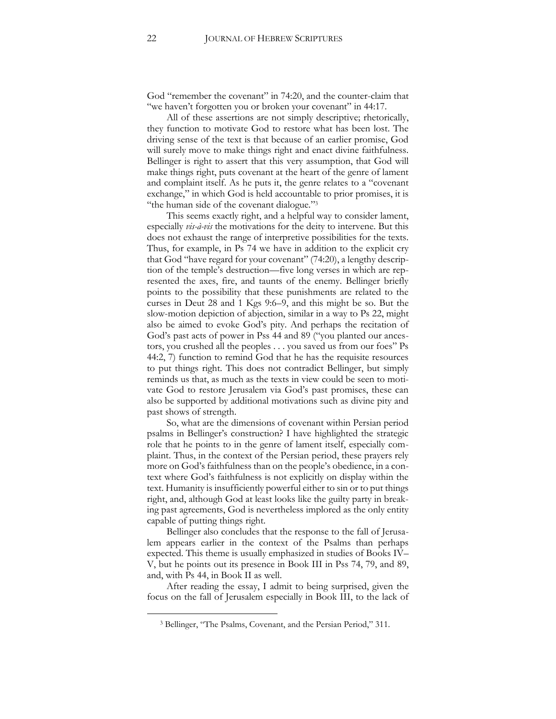God "remember the covenant" in 74:20, and the counter-claim that "we haven't forgotten you or broken your covenant" in 44:17.

All of these assertions are not simply descriptive; rhetorically, they function to motivate God to restore what has been lost. The driving sense of the text is that because of an earlier promise, God will surely move to make things right and enact divine faithfulness. Bellinger is right to assert that this very assumption, that God will make things right, puts covenant at the heart of the genre of lament and complaint itself. As he puts it, the genre relates to a "covenant exchange," in which God is held accountable to prior promises, it is "the human side of the covenant dialogue."<sup>3</sup>

This seems exactly right, and a helpful way to consider lament, especially *vis-à-vis* the motivations for the deity to intervene. But this does not exhaust the range of interpretive possibilities for the texts. Thus, for example, in Ps 74 we have in addition to the explicit cry that God "have regard for your covenant" (74:20), a lengthy description of the temple's destruction—five long verses in which are represented the axes, fire, and taunts of the enemy. Bellinger briefly points to the possibility that these punishments are related to the curses in Deut 28 and 1 Kgs 9:6–9, and this might be so. But the slow-motion depiction of abjection, similar in a way to Ps 22, might also be aimed to evoke God's pity. And perhaps the recitation of God's past acts of power in Pss 44 and 89 ("you planted our ancestors, you crushed all the peoples . . . you saved us from our foes" Ps 44:2, 7) function to remind God that he has the requisite resources to put things right. This does not contradict Bellinger, but simply reminds us that, as much as the texts in view could be seen to motivate God to restore Jerusalem via God's past promises, these can also be supported by additional motivations such as divine pity and past shows of strength.

So, what are the dimensions of covenant within Persian period psalms in Bellinger's construction? I have highlighted the strategic role that he points to in the genre of lament itself, especially complaint. Thus, in the context of the Persian period, these prayers rely more on God's faithfulness than on the people's obedience, in a context where God's faithfulness is not explicitly on display within the text. Humanity is insufficiently powerful either to sin or to put things right, and, although God at least looks like the guilty party in breaking past agreements, God is nevertheless implored as the only entity capable of putting things right.

Bellinger also concludes that the response to the fall of Jerusalem appears earlier in the context of the Psalms than perhaps expected. This theme is usually emphasized in studies of Books IV– V, but he points out its presence in Book III in Pss 74, 79, and 89, and, with Ps 44, in Book II as well.

After reading the essay, I admit to being surprised, given the focus on the fall of Jerusalem especially in Book III, to the lack of

<sup>3</sup> Bellinger, "The Psalms, Covenant, and the Persian Period," 311.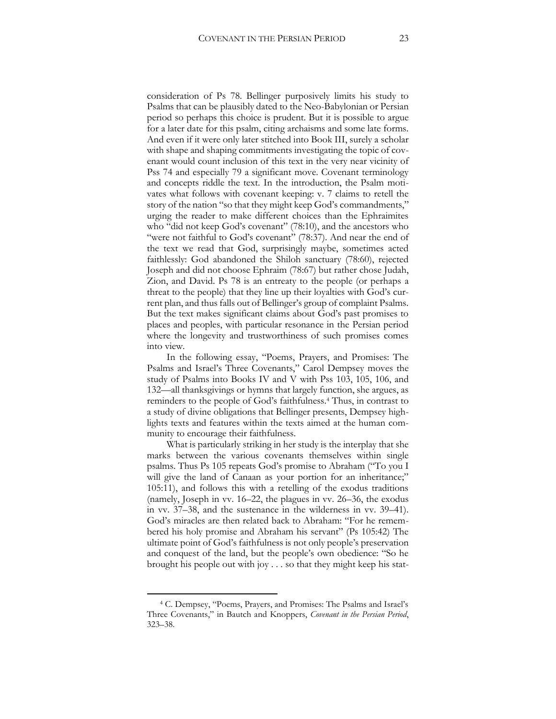consideration of Ps 78. Bellinger purposively limits his study to Psalms that can be plausibly dated to the Neo-Babylonian or Persian period so perhaps this choice is prudent. But it is possible to argue for a later date for this psalm, citing archaisms and some late forms. And even if it were only later stitched into Book III, surely a scholar with shape and shaping commitments investigating the topic of covenant would count inclusion of this text in the very near vicinity of Pss 74 and especially 79 a significant move. Covenant terminology and concepts riddle the text. In the introduction, the Psalm motivates what follows with covenant keeping: v. 7 claims to retell the story of the nation "so that they might keep God's commandments," urging the reader to make different choices than the Ephraimites who "did not keep God's covenant" (78:10), and the ancestors who "were not faithful to God's covenant" (78:37). And near the end of the text we read that God, surprisingly maybe, sometimes acted faithlessly: God abandoned the Shiloh sanctuary (78:60), rejected Joseph and did not choose Ephraim (78:67) but rather chose Judah, Zion, and David. Ps 78 is an entreaty to the people (or perhaps a threat to the people) that they line up their loyalties with God's current plan, and thus falls out of Bellinger's group of complaint Psalms. But the text makes significant claims about God's past promises to places and peoples, with particular resonance in the Persian period where the longevity and trustworthiness of such promises comes into view.

In the following essay, "Poems, Prayers, and Promises: The Psalms and Israel's Three Covenants," Carol Dempsey moves the study of Psalms into Books IV and V with Pss 103, 105, 106, and 132—all thanksgivings or hymns that largely function, she argues, as reminders to the people of God's faithfulness.<sup>4</sup> Thus, in contrast to a study of divine obligations that Bellinger presents, Dempsey highlights texts and features within the texts aimed at the human community to encourage their faithfulness.

What is particularly striking in her study is the interplay that she marks between the various covenants themselves within single psalms. Thus Ps 105 repeats God's promise to Abraham ("To you I will give the land of Canaan as your portion for an inheritance;" 105:11), and follows this with a retelling of the exodus traditions (namely, Joseph in vv. 16–22, the plagues in vv. 26–36, the exodus in vv. 37–38, and the sustenance in the wilderness in vv. 39–41). God's miracles are then related back to Abraham: "For he remembered his holy promise and Abraham his servant" (Ps 105:42) The ultimate point of God's faithfulness is not only people's preservation and conquest of the land, but the people's own obedience: "So he brought his people out with joy . . . so that they might keep his stat-

<sup>4</sup> C. Dempsey, "Poems, Prayers, and Promises: The Psalms and Israel's Three Covenants," in Bautch and Knoppers, *Covenant in the Persian Period*, 323–38.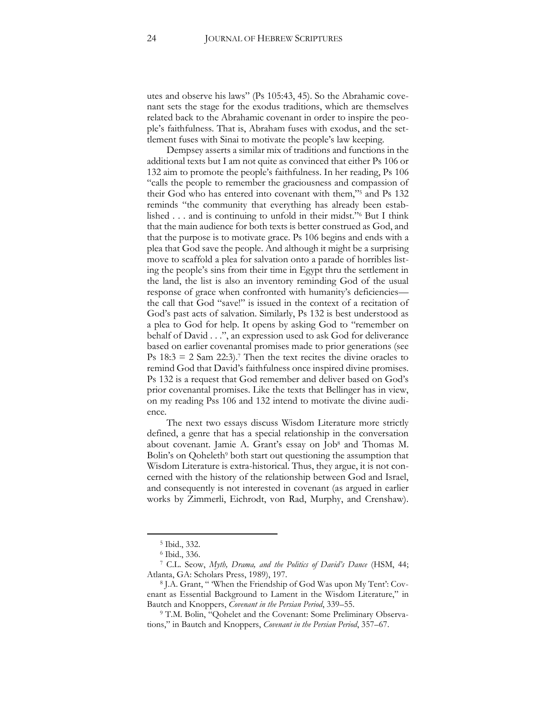utes and observe his laws" (Ps 105:43, 45). So the Abrahamic covenant sets the stage for the exodus traditions, which are themselves related back to the Abrahamic covenant in order to inspire the people's faithfulness. That is, Abraham fuses with exodus, and the settlement fuses with Sinai to motivate the people's law keeping.

Dempsey asserts a similar mix of traditions and functions in the additional texts but I am not quite as convinced that either Ps 106 or 132 aim to promote the people's faithfulness. In her reading, Ps 106 "calls the people to remember the graciousness and compassion of their God who has entered into covenant with them,"<sup>5</sup> and Ps 132 reminds "the community that everything has already been established . . . and is continuing to unfold in their midst."<sup>6</sup> But I think that the main audience for both texts is better construed as God, and that the purpose is to motivate grace. Ps 106 begins and ends with a plea that God save the people. And although it might be a surprising move to scaffold a plea for salvation onto a parade of horribles listing the people's sins from their time in Egypt thru the settlement in the land, the list is also an inventory reminding God of the usual response of grace when confronted with humanity's deficiencies the call that God "save!" is issued in the context of a recitation of God's past acts of salvation. Similarly, Ps 132 is best understood as a plea to God for help. It opens by asking God to "remember on behalf of David . . .", an expression used to ask God for deliverance based on earlier covenantal promises made to prior generations (see Ps  $18:3 = 2$  Sam  $22:3$ .<sup>7</sup> Then the text recites the divine oracles to remind God that David's faithfulness once inspired divine promises. Ps 132 is a request that God remember and deliver based on God's prior covenantal promises. Like the texts that Bellinger has in view, on my reading Pss 106 and 132 intend to motivate the divine audience.

The next two essays discuss Wisdom Literature more strictly defined, a genre that has a special relationship in the conversation about covenant. Jamie A. Grant's essay on Job<sup>8</sup> and Thomas M. Bolin's on Qoheleth<sup>9</sup> both start out questioning the assumption that Wisdom Literature is extra-historical. Thus, they argue, it is not concerned with the history of the relationship between God and Israel, and consequently is not interested in covenant (as argued in earlier works by Zimmerli, Eichrodt, von Rad, Murphy, and Crenshaw).

<sup>5</sup> Ibid., 332.

<sup>6</sup> Ibid., 336.

<sup>7</sup> C.L. Seow, *Myth, Drama, and the Politics of David's Dance* (HSM, 44; Atlanta, GA: Scholars Press, 1989), 197.

<sup>8</sup> J.A. Grant, " 'When the Friendship of God Was upon My Tent': Covenant as Essential Background to Lament in the Wisdom Literature," in Bautch and Knoppers, *Covenant in the Persian Period*, 339–55.

<sup>9</sup> T.M. Bolin, "Qohelet and the Covenant: Some Preliminary Observations," in Bautch and Knoppers, *Covenant in the Persian Period*, 357–67.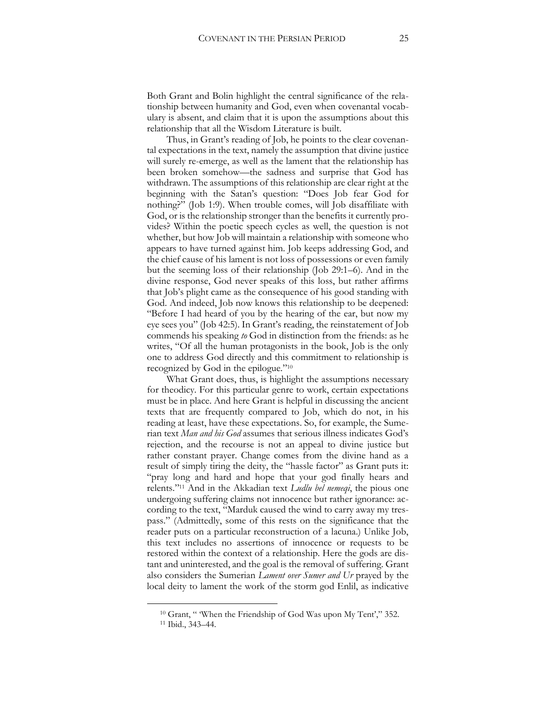Both Grant and Bolin highlight the central significance of the relationship between humanity and God, even when covenantal vocabulary is absent, and claim that it is upon the assumptions about this relationship that all the Wisdom Literature is built.

Thus, in Grant's reading of Job, he points to the clear covenantal expectations in the text, namely the assumption that divine justice will surely re-emerge, as well as the lament that the relationship has been broken somehow—the sadness and surprise that God has withdrawn. The assumptions of this relationship are clear right at the beginning with the Satan's question: "Does Job fear God for nothing?" (Job 1:9). When trouble comes, will Job disaffiliate with God, or is the relationship stronger than the benefits it currently provides? Within the poetic speech cycles as well, the question is not whether, but how Job will maintain a relationship with someone who appears to have turned against him. Job keeps addressing God, and the chief cause of his lament is not loss of possessions or even family but the seeming loss of their relationship (Job 29:1–6). And in the divine response, God never speaks of this loss, but rather affirms that Job's plight came as the consequence of his good standing with God. And indeed, Job now knows this relationship to be deepened: "Before I had heard of you by the hearing of the ear, but now my eye sees you" (Job 42:5). In Grant's reading, the reinstatement of Job commends his speaking *to* God in distinction from the friends: as he writes, "Of all the human protagonists in the book, Job is the only one to address God directly and this commitment to relationship is recognized by God in the epilogue."<sup>10</sup>

What Grant does, thus, is highlight the assumptions necessary for theodicy. For this particular genre to work, certain expectations must be in place. And here Grant is helpful in discussing the ancient texts that are frequently compared to Job, which do not, in his reading at least, have these expectations. So, for example, the Sumerian text *Man and his God* assumes that serious illness indicates God's rejection, and the recourse is not an appeal to divine justice but rather constant prayer. Change comes from the divine hand as a result of simply tiring the deity, the "hassle factor" as Grant puts it: "pray long and hard and hope that your god finally hears and relents."<sup>11</sup> And in the Akkadian text *Ludlu bel nemeqi*, the pious one undergoing suffering claims not innocence but rather ignorance: according to the text, "Marduk caused the wind to carry away my trespass." (Admittedly, some of this rests on the significance that the reader puts on a particular reconstruction of a lacuna.) Unlike Job, this text includes no assertions of innocence or requests to be restored within the context of a relationship. Here the gods are distant and uninterested, and the goal is the removal of suffering. Grant also considers the Sumerian *Lament over Sumer and Ur* prayed by the local deity to lament the work of the storm god Enlil, as indicative

<sup>&</sup>lt;sup>10</sup> Grant, " When the Friendship of God Was upon My Tent'," 352.

<sup>11</sup> Ibid., 343–44.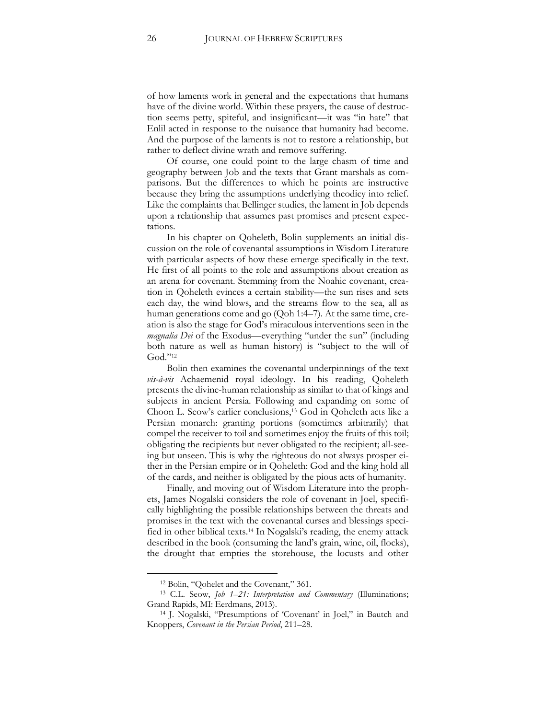of how laments work in general and the expectations that humans have of the divine world. Within these prayers, the cause of destruction seems petty, spiteful, and insignificant—it was "in hate" that Enlil acted in response to the nuisance that humanity had become. And the purpose of the laments is not to restore a relationship, but rather to deflect divine wrath and remove suffering.

Of course, one could point to the large chasm of time and geography between Job and the texts that Grant marshals as comparisons. But the differences to which he points are instructive because they bring the assumptions underlying theodicy into relief. Like the complaints that Bellinger studies, the lament in Job depends upon a relationship that assumes past promises and present expectations.

In his chapter on Qoheleth, Bolin supplements an initial discussion on the role of covenantal assumptions in Wisdom Literature with particular aspects of how these emerge specifically in the text. He first of all points to the role and assumptions about creation as an arena for covenant. Stemming from the Noahic covenant, creation in Qoheleth evinces a certain stability—the sun rises and sets each day, the wind blows, and the streams flow to the sea, all as human generations come and go (Qoh 1:4–7). At the same time, creation is also the stage for God's miraculous interventions seen in the *magnalia Dei* of the Exodus—everything "under the sun" (including both nature as well as human history) is "subject to the will of God."<sup>12</sup>

Bolin then examines the covenantal underpinnings of the text *vis-à-vis* Achaemenid royal ideology. In his reading, Qoheleth presents the divine-human relationship as similar to that of kings and subjects in ancient Persia. Following and expanding on some of Choon L. Seow's earlier conclusions,<sup>13</sup> God in Qoheleth acts like a Persian monarch: granting portions (sometimes arbitrarily) that compel the receiver to toil and sometimes enjoy the fruits of this toil; obligating the recipients but never obligated to the recipient; all-seeing but unseen. This is why the righteous do not always prosper either in the Persian empire or in Qoheleth: God and the king hold all of the cards, and neither is obligated by the pious acts of humanity.

Finally, and moving out of Wisdom Literature into the prophets, James Nogalski considers the role of covenant in Joel, specifically highlighting the possible relationships between the threats and promises in the text with the covenantal curses and blessings specified in other biblical texts.<sup>14</sup> In Nogalski's reading, the enemy attack described in the book (consuming the land's grain, wine, oil, flocks), the drought that empties the storehouse, the locusts and other

<sup>12</sup> Bolin, "Qohelet and the Covenant," 361.

<sup>13</sup> C.L. Seow, *Job 1*–*21: Interpretation and Commentary* (Illuminations; Grand Rapids, MI: Eerdmans, 2013).

<sup>14</sup> J. Nogalski, "Presumptions of 'Covenant' in Joel," in Bautch and Knoppers, *Covenant in the Persian Period*, 211–28.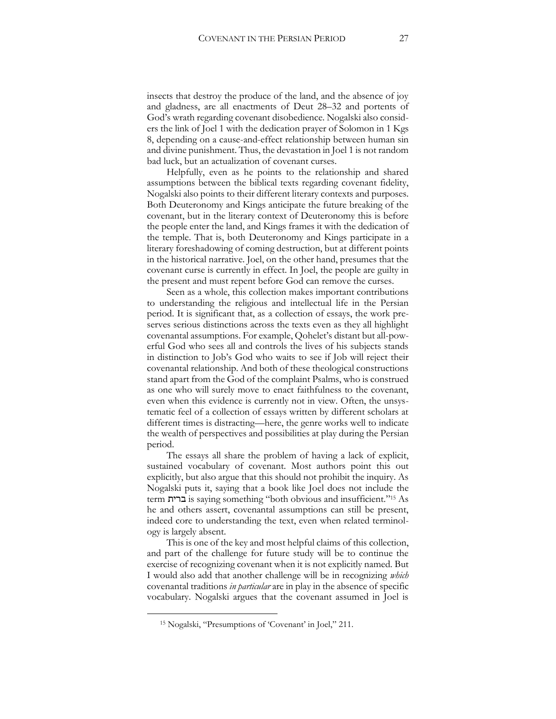insects that destroy the produce of the land, and the absence of joy and gladness, are all enactments of Deut 28–32 and portents of God's wrath regarding covenant disobedience. Nogalski also considers the link of Joel 1 with the dedication prayer of Solomon in 1 Kgs 8, depending on a cause-and-effect relationship between human sin and divine punishment. Thus, the devastation in Joel 1 is not random bad luck, but an actualization of covenant curses.

Helpfully, even as he points to the relationship and shared assumptions between the biblical texts regarding covenant fidelity, Nogalski also points to their different literary contexts and purposes. Both Deuteronomy and Kings anticipate the future breaking of the covenant, but in the literary context of Deuteronomy this is before the people enter the land, and Kings frames it with the dedication of the temple. That is, both Deuteronomy and Kings participate in a literary foreshadowing of coming destruction, but at different points in the historical narrative. Joel, on the other hand, presumes that the covenant curse is currently in effect. In Joel, the people are guilty in the present and must repent before God can remove the curses.

Seen as a whole, this collection makes important contributions to understanding the religious and intellectual life in the Persian period. It is significant that, as a collection of essays, the work preserves serious distinctions across the texts even as they all highlight covenantal assumptions. For example, Qohelet's distant but all-powerful God who sees all and controls the lives of his subjects stands in distinction to Job's God who waits to see if Job will reject their covenantal relationship. And both of these theological constructions stand apart from the God of the complaint Psalms, who is construed as one who will surely move to enact faithfulness to the covenant, even when this evidence is currently not in view. Often, the unsystematic feel of a collection of essays written by different scholars at different times is distracting—here, the genre works well to indicate the wealth of perspectives and possibilities at play during the Persian period.

The essays all share the problem of having a lack of explicit, sustained vocabulary of covenant. Most authors point this out explicitly, but also argue that this should not prohibit the inquiry. As Nogalski puts it, saying that a book like Joel does not include the term ברית is saying something "both obvious and insufficient." <sup>15</sup> As he and others assert, covenantal assumptions can still be present, indeed core to understanding the text, even when related terminology is largely absent.

This is one of the key and most helpful claims of this collection, and part of the challenge for future study will be to continue the exercise of recognizing covenant when it is not explicitly named. But I would also add that another challenge will be in recognizing *which*  covenantal traditions *in particular* are in play in the absence of specific vocabulary. Nogalski argues that the covenant assumed in Joel is

<sup>15</sup> Nogalski, "Presumptions of 'Covenant' in Joel," 211.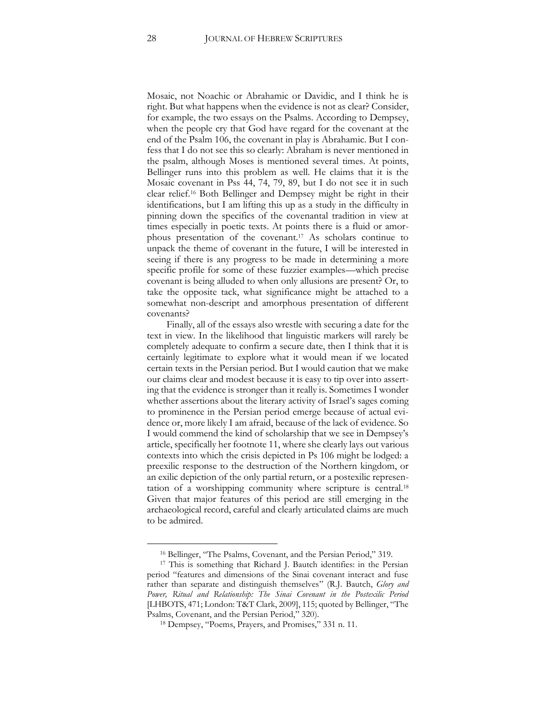Mosaic, not Noachic or Abrahamic or Davidic, and I think he is right. But what happens when the evidence is not as clear? Consider, for example, the two essays on the Psalms. According to Dempsey, when the people cry that God have regard for the covenant at the end of the Psalm 106, the covenant in play is Abrahamic. But I confess that I do not see this so clearly: Abraham is never mentioned in the psalm, although Moses is mentioned several times. At points, Bellinger runs into this problem as well. He claims that it is the Mosaic covenant in Pss 44, 74, 79, 89, but I do not see it in such clear relief.<sup>16</sup> Both Bellinger and Dempsey might be right in their identifications, but I am lifting this up as a study in the difficulty in pinning down the specifics of the covenantal tradition in view at times especially in poetic texts. At points there is a fluid or amorphous presentation of the covenant.<sup>17</sup> As scholars continue to unpack the theme of covenant in the future, I will be interested in seeing if there is any progress to be made in determining a more specific profile for some of these fuzzier examples—which precise covenant is being alluded to when only allusions are present? Or, to take the opposite tack, what significance might be attached to a somewhat non-descript and amorphous presentation of different covenants?

Finally, all of the essays also wrestle with securing a date for the text in view. In the likelihood that linguistic markers will rarely be completely adequate to confirm a secure date, then I think that it is certainly legitimate to explore what it would mean if we located certain texts in the Persian period. But I would caution that we make our claims clear and modest because it is easy to tip over into asserting that the evidence is stronger than it really is. Sometimes I wonder whether assertions about the literary activity of Israel's sages coming to prominence in the Persian period emerge because of actual evidence or, more likely I am afraid, because of the lack of evidence. So I would commend the kind of scholarship that we see in Dempsey's article, specifically her footnote 11, where she clearly lays out various contexts into which the crisis depicted in Ps 106 might be lodged: a preexilic response to the destruction of the Northern kingdom, or an exilic depiction of the only partial return, or a postexilic representation of a worshipping community where scripture is central.<sup>18</sup> Given that major features of this period are still emerging in the archaeological record, careful and clearly articulated claims are much to be admired.

<sup>16</sup> Bellinger, "The Psalms, Covenant, and the Persian Period," 319.

<sup>&</sup>lt;sup>17</sup> This is something that Richard J. Bautch identifies: in the Persian period "features and dimensions of the Sinai covenant interact and fuse rather than separate and distinguish themselves" (R.J. Bautch, *Glory and Power, Ritual and Relationship: The Sinai Covenant in the Postexilic Period*  [LHBOTS, 471; London: T&T Clark, 2009], 115; quoted by Bellinger, "The Psalms, Covenant, and the Persian Period," 320).

<sup>18</sup> Dempsey, "Poems, Prayers, and Promises," 331 n. 11.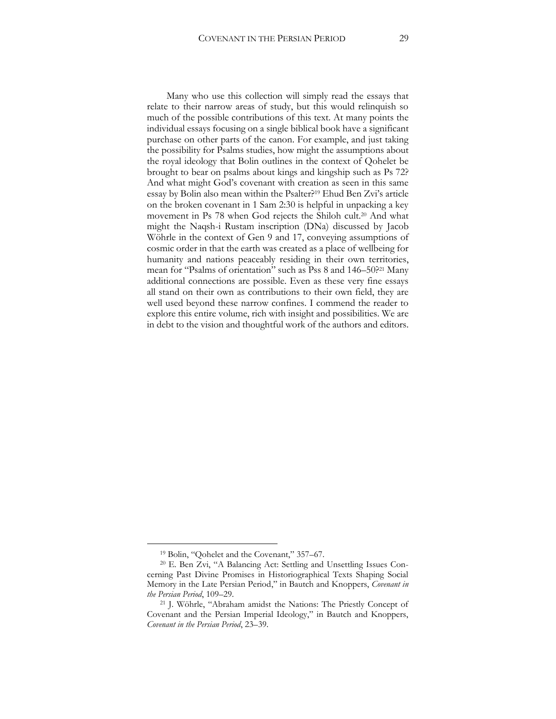Many who use this collection will simply read the essays that relate to their narrow areas of study, but this would relinquish so much of the possible contributions of this text. At many points the individual essays focusing on a single biblical book have a significant purchase on other parts of the canon. For example, and just taking the possibility for Psalms studies, how might the assumptions about the royal ideology that Bolin outlines in the context of Qohelet be brought to bear on psalms about kings and kingship such as Ps 72? And what might God's covenant with creation as seen in this same essay by Bolin also mean within the Psalter?<sup>19</sup> Ehud Ben Zvi's article on the broken covenant in 1 Sam 2:30 is helpful in unpacking a key movement in Ps 78 when God rejects the Shiloh cult.<sup>20</sup> And what might the Naqsh-i Rustam inscription (DNa) discussed by Jacob Wöhrle in the context of Gen 9 and 17, conveying assumptions of cosmic order in that the earth was created as a place of wellbeing for humanity and nations peaceably residing in their own territories, mean for "Psalms of orientation" such as Pss 8 and 146–50?<sup>21</sup> Many additional connections are possible. Even as these very fine essays all stand on their own as contributions to their own field, they are well used beyond these narrow confines. I commend the reader to explore this entire volume, rich with insight and possibilities. We are in debt to the vision and thoughtful work of the authors and editors.

<sup>19</sup> Bolin, "Qohelet and the Covenant," 357–67.

<sup>20</sup> E. Ben Zvi, "A Balancing Act: Settling and Unsettling Issues Concerning Past Divine Promises in Historiographical Texts Shaping Social Memory in the Late Persian Period," in Bautch and Knoppers, *Covenant in the Persian Period*, 109–29.

<sup>21</sup> J. Wöhrle, "Abraham amidst the Nations: The Priestly Concept of Covenant and the Persian Imperial Ideology," in Bautch and Knoppers, *Covenant in the Persian Period*, 23–39.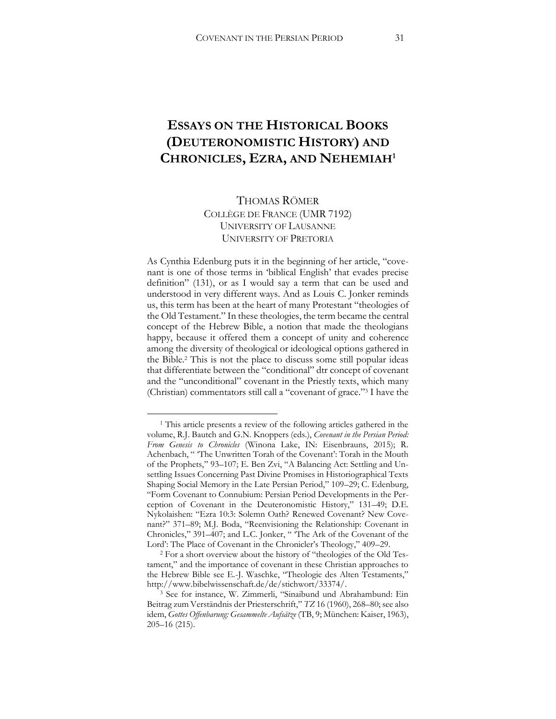## <span id="page-31-0"></span>**ESSAYS ON THE HISTORICAL BOOKS (DEUTERONOMISTIC HISTORY) AND CHRONICLES, EZRA, AND NEHEMIAH<sup>1</sup>**

#### THOMAS RÖMER COLLÈGE DE FRANCE (UMR 7192) UNIVERSITY OF LAUSANNE UNIVERSITY OF PRETORIA

As Cynthia Edenburg puts it in the beginning of her article, "covenant is one of those terms in 'biblical English' that evades precise definition" (131), or as I would say a term that can be used and understood in very different ways. And as Louis C. Jonker reminds us, this term has been at the heart of many Protestant "theologies of the Old Testament." In these theologies, the term became the central concept of the Hebrew Bible, a notion that made the theologians happy, because it offered them a concept of unity and coherence among the diversity of theological or ideological options gathered in the Bible.<sup>2</sup> This is not the place to discuss some still popular ideas that differentiate between the "conditional" dtr concept of covenant and the "unconditional" covenant in the Priestly texts, which many (Christian) commentators still call a "covenant of grace." <sup>3</sup> I have the

<sup>1</sup> This article presents a review of the following articles gathered in the volume, R.J. Bautch and G.N. Knoppers (eds.), *Covenant in the Persian Period: From Genesis to Chronicles* (Winona Lake, IN: Eisenbrauns, 2015); R. Achenbach, " 'The Unwritten Torah of the Covenant': Torah in the Mouth of the Prophets," 93–107; E. Ben Zvi, "A Balancing Act: Settling and Unsettling Issues Concerning Past Divine Promises in Historiographical Texts Shaping Social Memory in the Late Persian Period," 109–29; C. Edenburg, "Form Covenant to Connubium: Persian Period Developments in the Perception of Covenant in the Deuteronomistic History," 131–49; D.E. Nykolaishen: "Ezra 10:3: Solemn Oath? Renewed Covenant? New Covenant?" 371–89; M.J. Boda, "Reenvisioning the Relationship: Covenant in Chronicles," 391–407; and L.C. Jonker, " 'The Ark of the Covenant of the Lord': The Place of Covenant in the Chronicler's Theology," 409–29.

<sup>2</sup> For a short overview about the history of "theologies of the Old Testament," and the importance of covenant in these Christian approaches to the Hebrew Bible see E.-J. Waschke, "Theologie des Alten Testaments," [http://www.bibelwissenschaft.de/de/stichwort/33374/.](http://www.bibelwissenschaft.de/de/stichwort/33374/)

<sup>3</sup> See for instance, W. Zimmerli, "Sinaibund und Abrahambund: Ein Beitrag zum Verständnis der Priesterschrift," *TZ* 16 (1960), 268–80; see also idem, *Gottes Offenbarung: Gesammelte Aufsätze* (TB, 9; München: Kaiser, 1963), 205–16 (215).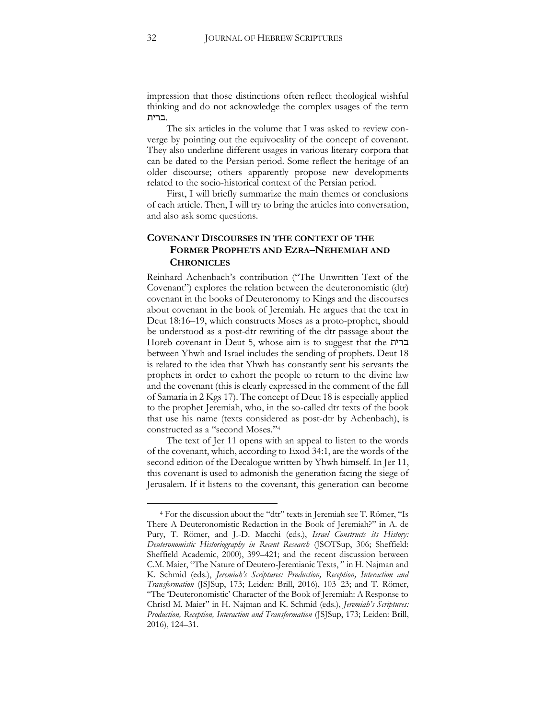impression that those distinctions often reflect theological wishful thinking and do not acknowledge the complex usages of the term .ברית

The six articles in the volume that I was asked to review converge by pointing out the equivocality of the concept of covenant. They also underline different usages in various literary corpora that can be dated to the Persian period. Some reflect the heritage of an older discourse; others apparently propose new developments related to the socio-historical context of the Persian period.

First, I will briefly summarize the main themes or conclusions of each article. Then, I will try to bring the articles into conversation, and also ask some questions.

#### **COVENANT DISCOURSES IN THE CONTEXT OF THE FORMER PROPHETS AND EZRA–NEHEMIAH AND CHRONICLES**

Reinhard Achenbach's contribution ("The Unwritten Text of the Covenant") explores the relation between the deuteronomistic (dtr) covenant in the books of Deuteronomy to Kings and the discourses about covenant in the book of Jeremiah. He argues that the text in Deut 18:16–19, which constructs Moses as a proto-prophet, should be understood as a post-dtr rewriting of the dtr passage about the Horeb covenant in Deut 5, whose aim is to suggest that the ברית between Yhwh and Israel includes the sending of prophets. Deut 18 is related to the idea that Yhwh has constantly sent his servants the prophets in order to exhort the people to return to the divine law and the covenant (this is clearly expressed in the comment of the fall of Samaria in 2 Kgs 17). The concept of Deut 18 is especially applied to the prophet Jeremiah, who, in the so-called dtr texts of the book that use his name (texts considered as post-dtr by Achenbach), is constructed as a "second Moses."<sup>4</sup>

The text of Jer 11 opens with an appeal to listen to the words of the covenant, which, according to Exod 34:1, are the words of the second edition of the Decalogue written by Yhwh himself. In Jer 11, this covenant is used to admonish the generation facing the siege of Jerusalem. If it listens to the covenant, this generation can become

<sup>4</sup> For the discussion about the "dtr" texts in Jeremiah see T. Römer, "Is There A Deuteronomistic Redaction in the Book of Jeremiah?" in A. de Pury, T. Römer, and J.-D. Macchi (eds.), *Israel Constructs its History: Deuteronomistic Historiography in Recent Research* (JSOTSup, 306; Sheffield: Sheffield Academic, 2000), 399–421; and the recent discussion between C.M. Maier, "The Nature of Deutero-Jeremianic Texts, " in H. Najman and K. Schmid (eds.), *Jeremiah's Scriptures: Production, Reception, Interaction and Transformation* (JSJSup, 173; Leiden: Brill, 2016), 103–23; and T. Römer, "The 'Deuteronomistic' Character of the Book of Jeremiah: A Response to Christl M. Maier" in H. Najman and K. Schmid (eds.), *Jeremiah's Scriptures: Production, Reception, Interaction and Transformation* (JSJSup, 173; Leiden: Brill, 2016), 124–31.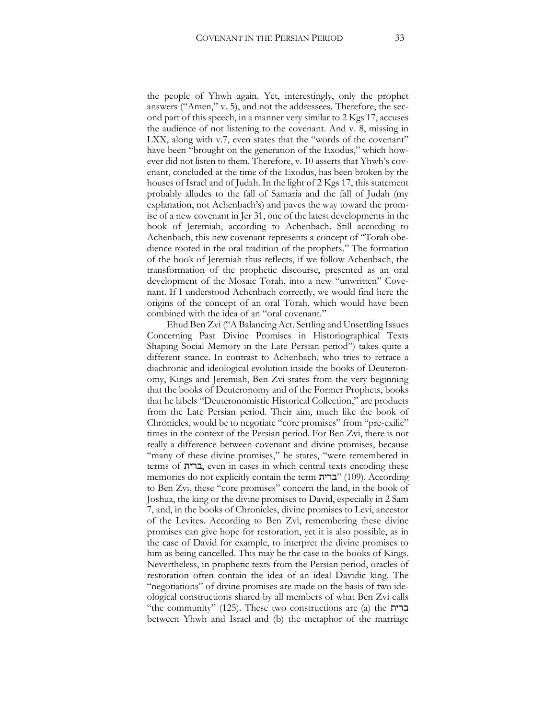the people of Yhwh again. Yet, interestingly, only the prophet answers ("Amen," v. 5), and not the addressees. Therefore, the second part of this speech, in a manner very similar to 2 Kgs 17, accuses the audience of not listening to the covenant. And v. 8, missing in LXX, along with v.7, even states that the "words of the covenant" have been "brought on the generation of the Exodus," which however did not listen to them. Therefore, v. 10 asserts that Yhwh's covenant, concluded at the time of the Exodus, has been broken by the houses of Israel and of Judah. In the light of 2 Kgs 17, this statement probably alludes to the fall of Samaria and the fall of Judah (my explanation, not Achenbach's) and paves the way toward the promise of a new covenant in Jer 31, one of the latest developments in the book of Jeremiah, according to Achenbach. Still according to Achenbach, this new covenant represents a concept of "Torah obedience rooted in the oral tradition of the prophets." The formation of the book of Jeremiah thus reflects, if we follow Achenbach, the transformation of the prophetic discourse, presented as an oral development of the Mosaic Torah, into a new "unwritten" Covenant. If I understood Achenbach correctly, we would find here the origins of the concept of an oral Torah, which would have been combined with the idea of an "oral covenant."

Ehud Ben Zvi ("A Balancing Act. Settling and Unsettling Issues Concerning Past Divine Promises in Historiographical Texts Shaping Social Memory in the Late Persian period") takes quite a different stance. In contrast to Achenbach, who tries to retrace a diachronic and ideological evolution inside the books of Deuteronomy, Kings and Jeremiah, Ben Zvi states from the very beginning that the books of Deuteronomy and of the Former Prophets, books that he labels "Deuteronomistic Historical Collection," are products from the Late Persian period. Their aim, much like the book of Chronicles, would be to negotiate "core promises" from "pre-exilic" times in the context of the Persian period. For Ben Zvi, there is not really a difference between covenant and divine promises, because "many of these divine promises," he states, "were remembered in terms of ברית, even in cases in which central texts encoding these memories do not explicitly contain the term ברית) "109(. According to Ben Zvi, these "core promises" concern the land, in the book of Joshua, the king or the divine promises to David, especially in 2 Sam 7, and, in the books of Chronicles, divine promises to Levi, ancestor of the Levites. According to Ben Zvi, remembering these divine promises can give hope for restoration, yet it is also possible, as in the case of David for example, to interpret the divine promises to him as being cancelled. This may be the case in the books of Kings. Nevertheless, in prophetic texts from the Persian period, oracles of restoration often contain the idea of an ideal Davidic king. The "negotiations" of divine promises are made on the basis of two ideological constructions shared by all members of what Ben Zvi calls "the community" (125). These two constructions are (a) the ברית between Yhwh and Israel and (b) the metaphor of the marriage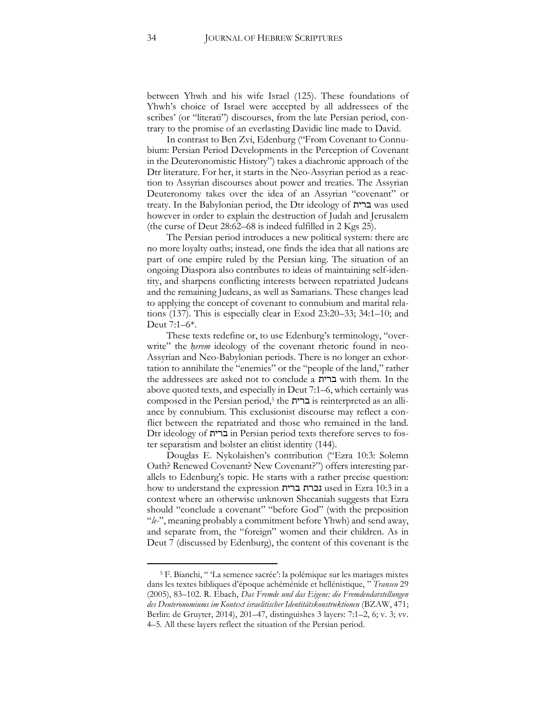between Yhwh and his wife Israel (125). These foundations of Yhwh's choice of Israel were accepted by all addressees of the scribes' (or "literati") discourses, from the late Persian period, contrary to the promise of an everlasting Davidic line made to David.

In contrast to Ben Zvi, Edenburg ("From Covenant to Connubium: Persian Period Developments in the Perception of Covenant in the Deuteronomistic History") takes a diachronic approach of the Dtr literature. For her, it starts in the Neo-Assyrian period as a reaction to Assyrian discourses about power and treaties. The Assyrian Deuteronomy takes over the idea of an Assyrian "covenant" or treaty. In the Babylonian period, the Dtr ideology of ברית was used however in order to explain the destruction of Judah and Jerusalem (the curse of Deut 28:62–68 is indeed fulfilled in 2 Kgs 25).

The Persian period introduces a new political system: there are no more loyalty oaths; instead, one finds the idea that all nations are part of one empire ruled by the Persian king. The situation of an ongoing Diaspora also contributes to ideas of maintaining self-identity, and sharpens conflicting interests between repatriated Judeans and the remaining Judeans, as well as Samarians. These changes lead to applying the concept of covenant to connubium and marital relations (137). This is especially clear in Exod 23:20–33; 34:1–10; and Deut 7:1–6\*.

These texts redefine or, to use Edenburg's terminology, "overwrite" the *herem* ideology of the covenant rhetoric found in neo-Assyrian and Neo-Babylonian periods. There is no longer an exhortation to annihilate the "enemies" or the "people of the land," rather the addressees are asked not to conclude a ברית with them. In the above quoted texts, and especially in Deut 7:1–6, which certainly was composed in the Persian period,<sup>5</sup> the ברית is reinterpreted as an alliance by connubium. This exclusionist discourse may reflect a conflict between the repatriated and those who remained in the land. Dtr ideology of ברית in Persian period texts therefore serves to foster separatism and bolster an elitist identity (144).

Douglas E. Nykolaishen's contribution ("Ezra 10:3: Solemn Oath? Renewed Covenant? New Covenant?") offers interesting parallels to Edenburg's topic. He starts with a rather precise question: how to understand the expression ברית נכרת used in Ezra 10:3 in a context where an otherwise unknown Shecaniah suggests that Ezra should "conclude a covenant" "before God" (with the preposition "*le-*", meaning probably a commitment before Yhwh) and send away, and separate from, the "foreign" women and their children. As in Deut 7 (discussed by Edenburg), the content of this covenant is the

<sup>5</sup> F. Bianchi, " 'La semence sacrée': la polémique sur les mariages mixtes dans les textes bibliques d'époque achéménide et hellénistique, " *Transeu* 29 (2005), 83–102. R. Ebach, *Das Fremde und das Eigene: die Fremdendarstellungen des Deuteronomiums im Kontext israelitischer Identitätskonstruktionen* (BZAW, 471; Berlin: de Gruyter, 2014), 201–47, distinguishes 3 layers: 7:1–2, 6; v. 3; vv. 4–5. All these layers reflect the situation of the Persian period.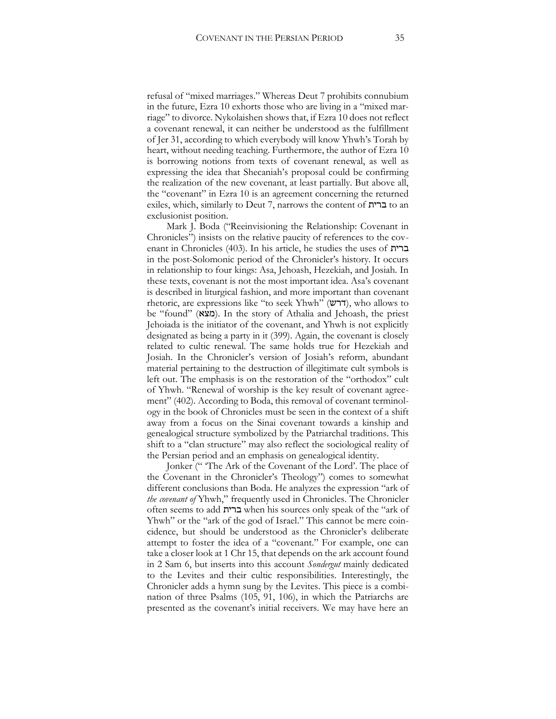refusal of "mixed marriages." Whereas Deut 7 prohibits connubium in the future, Ezra 10 exhorts those who are living in a "mixed marriage" to divorce. Nykolaishen shows that, if Ezra 10 does not reflect a covenant renewal, it can neither be understood as the fulfillment of Jer 31, according to which everybody will know Yhwh's Torah by heart, without needing teaching. Furthermore, the author of Ezra 10 is borrowing notions from texts of covenant renewal, as well as expressing the idea that Shecaniah's proposal could be confirming the realization of the new covenant, at least partially. But above all, the "covenant" in Ezra 10 is an agreement concerning the returned exiles, which, similarly to Deut 7, narrows the content of ברית to an exclusionist position.

Mark J. Boda ("Reeinvisioning the Relationship: Covenant in Chronicles") insists on the relative paucity of references to the covenant in Chronicles (403). In his article, he studies the uses of ברית in the post-Solomonic period of the Chronicler's history. It occurs in relationship to four kings: Asa, Jehoash, Hezekiah, and Josiah. In these texts, covenant is not the most important idea. Asa's covenant is described in liturgical fashion, and more important than covenant rhetoric, are expressions like "to seek Yhwh" (דרש), who allows to be "found" (מצא). In the story of Athalia and Jehoash, the priest Jehoiada is the initiator of the covenant, and Yhwh is not explicitly designated as being a party in it (399). Again, the covenant is closely related to cultic renewal. The same holds true for Hezekiah and Josiah. In the Chronicler's version of Josiah's reform, abundant material pertaining to the destruction of illegitimate cult symbols is left out. The emphasis is on the restoration of the "orthodox" cult of Yhwh. "Renewal of worship is the key result of covenant agreement" (402). According to Boda, this removal of covenant terminology in the book of Chronicles must be seen in the context of a shift away from a focus on the Sinai covenant towards a kinship and genealogical structure symbolized by the Patriarchal traditions. This shift to a "clan structure" may also reflect the sociological reality of the Persian period and an emphasis on genealogical identity.

Jonker (" 'The Ark of the Covenant of the Lord'. The place of the Covenant in the Chronicler's Theology") comes to somewhat different conclusions than Boda. He analyzes the expression "ark of *the covenant of* Yhwh," frequently used in Chronicles. The Chronicler often seems to add ברית when his sources only speak of the "ark of Yhwh" or the "ark of the god of Israel." This cannot be mere coincidence, but should be understood as the Chronicler's deliberate attempt to foster the idea of a "covenant." For example, one can take a closer look at 1 Chr 15, that depends on the ark account found in 2 Sam 6, but inserts into this account *Sondergut* mainly dedicated to the Levites and their cultic responsibilities. Interestingly, the Chronicler adds a hymn sung by the Levites. This piece is a combination of three Psalms (105, 91, 106), in which the Patriarchs are presented as the covenant's initial receivers. We may have here an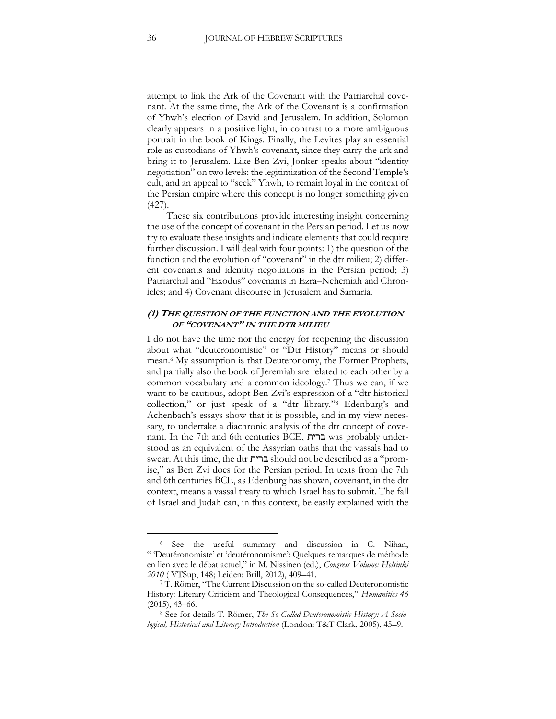attempt to link the Ark of the Covenant with the Patriarchal covenant. At the same time, the Ark of the Covenant is a confirmation of Yhwh's election of David and Jerusalem. In addition, Solomon clearly appears in a positive light, in contrast to a more ambiguous portrait in the book of Kings. Finally, the Levites play an essential role as custodians of Yhwh's covenant, since they carry the ark and bring it to Jerusalem. Like Ben Zvi, Jonker speaks about "identity negotiation" on two levels: the legitimization of the Second Temple's cult, and an appeal to "seek" Yhwh, to remain loyal in the context of the Persian empire where this concept is no longer something given (427).

These six contributions provide interesting insight concerning the use of the concept of covenant in the Persian period. Let us now try to evaluate these insights and indicate elements that could require further discussion. I will deal with four points: 1) the question of the function and the evolution of "covenant" in the dtr milieu; 2) different covenants and identity negotiations in the Persian period; 3) Patriarchal and "Exodus" covenants in Ezra–Nehemiah and Chronicles; and 4) Covenant discourse in Jerusalem and Samaria.

#### **(1) THE QUESTION OF THE FUNCTION AND THE EVOLUTION OF "COVENANT" IN THE DTR MILIEU**

I do not have the time nor the energy for reopening the discussion about what "deuteronomistic" or "Dtr History" means or should mean.<sup>6</sup> My assumption is that Deuteronomy, the Former Prophets, and partially also the book of Jeremiah are related to each other by a common vocabulary and a common ideology.<sup>7</sup> Thus we can, if we want to be cautious, adopt Ben Zvi's expression of a "dtr historical collection," or just speak of a "dtr library."<sup>8</sup> Edenburg's and Achenbach's essays show that it is possible, and in my view necessary, to undertake a diachronic analysis of the dtr concept of covenant. In the 7th and 6th centuries BCE, ברית was probably understood as an equivalent of the Assyrian oaths that the vassals had to swear. At this time, the dtr ברית should not be described as a "promise," as Ben Zvi does for the Persian period. In texts from the 7th and 6th centuries BCE, as Edenburg has shown, covenant, in the dtr context, means a vassal treaty to which Israel has to submit. The fall of Israel and Judah can, in this context, be easily explained with the

<sup>6</sup> See the useful summary and discussion in C. Nihan, " 'Deutéronomiste' et 'deutéronomisme': Quelques remarques de méthode en lien avec le débat actuel," in M. Nissinen (ed.), *Congress Volume: Helsinki 2010* ( VTSup, 148; Leiden: Brill, 2012), 409–41.

<sup>7</sup> T. Römer, "The Current Discussion on the so-called Deuteronomistic History: Literary Criticism and Theological Consequences," *Humanities 46*  (2015), 43–66.

<sup>8</sup> See for details T. Römer, *The So-Called Deuteronomistic History: A Sociological, Historical and Literary Introduction* (London: T&T Clark, 2005), 45–9.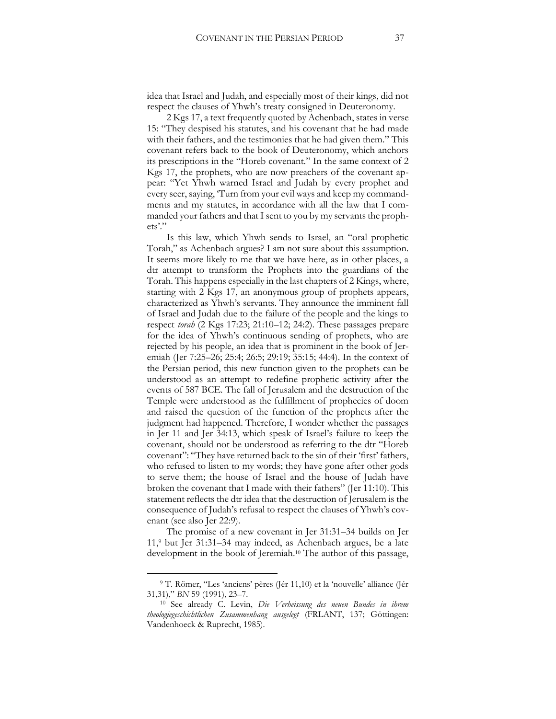idea that Israel and Judah, and especially most of their kings, did not respect the clauses of Yhwh's treaty consigned in Deuteronomy.

2 Kgs 17, a text frequently quoted by Achenbach, states in verse 15: "They despised his statutes, and his covenant that he had made with their fathers, and the testimonies that he had given them." This covenant refers back to the book of Deuteronomy, which anchors its prescriptions in the "Horeb covenant." In the same context of 2 Kgs 17, the prophets, who are now preachers of the covenant appear: "Yet Yhwh warned Israel and Judah by every prophet and every seer, saying, 'Turn from your evil ways and keep my commandments and my statutes, in accordance with all the law that I commanded your fathers and that I sent to you by my servants the prophets'."

Is this law, which Yhwh sends to Israel, an "oral prophetic Torah," as Achenbach argues? I am not sure about this assumption. It seems more likely to me that we have here, as in other places, a dtr attempt to transform the Prophets into the guardians of the Torah. This happens especially in the last chapters of 2 Kings, where, starting with 2 Kgs 17, an anonymous group of prophets appears, characterized as Yhwh's servants. They announce the imminent fall of Israel and Judah due to the failure of the people and the kings to respect *torah* (2 Kgs 17:23; 21:10–12; 24:2). These passages prepare for the idea of Yhwh's continuous sending of prophets, who are rejected by his people, an idea that is prominent in the book of Jeremiah (Jer 7:25–26; 25:4; 26:5; 29:19; 35:15; 44:4). In the context of the Persian period, this new function given to the prophets can be understood as an attempt to redefine prophetic activity after the events of 587 BCE. The fall of Jerusalem and the destruction of the Temple were understood as the fulfillment of prophecies of doom and raised the question of the function of the prophets after the judgment had happened. Therefore, I wonder whether the passages in Jer 11 and Jer 34:13, which speak of Israel's failure to keep the covenant, should not be understood as referring to the dtr "Horeb covenant": "They have returned back to the sin of their 'first' fathers, who refused to listen to my words; they have gone after other gods to serve them; the house of Israel and the house of Judah have broken the covenant that I made with their fathers" (Jer 11:10). This statement reflects the dtr idea that the destruction of Jerusalem is the consequence of Judah's refusal to respect the clauses of Yhwh's covenant (see also Jer 22:9).

The promise of a new covenant in Jer 31:31–34 builds on Jer 11,<sup>9</sup> but Jer 31:31–34 may indeed, as Achenbach argues, be a late development in the book of Jeremiah.<sup>10</sup> The author of this passage,

<sup>9</sup> T. Römer, "Les 'anciens' pères (Jér 11,10) et la 'nouvelle' alliance (Jér 31,31)," *BN* 59 (1991), 23–7.

<sup>10</sup> See already C. Levin, *Die Verheissung des neuen Bundes in ihrem theologiegeschichtlichen Zusammenhang ausgelegt* (FRLANT, 137; Göttingen: Vandenhoeck & Ruprecht, 1985).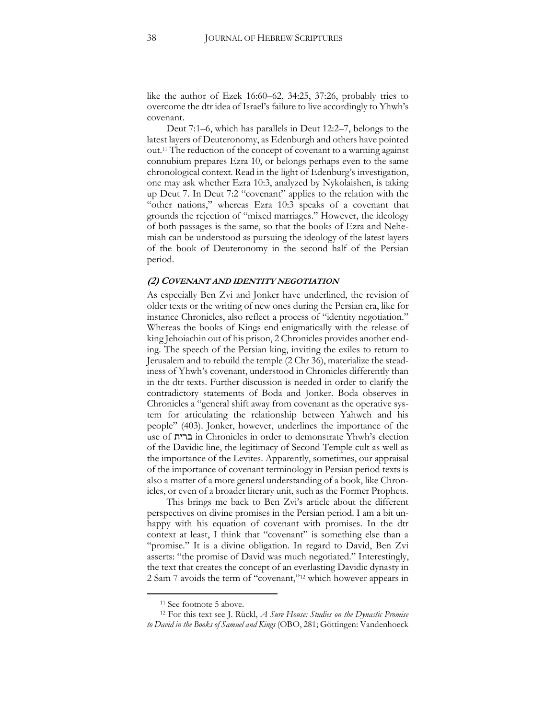like the author of Ezek 16:60–62, 34:25, 37:26, probably tries to overcome the dtr idea of Israel's failure to live accordingly to Yhwh's covenant.

Deut 7:1–6, which has parallels in Deut 12:2–7, belongs to the latest layers of Deuteronomy, as Edenburgh and others have pointed out.<sup>11</sup> The reduction of the concept of covenant to a warning against connubium prepares Ezra 10, or belongs perhaps even to the same chronological context. Read in the light of Edenburg's investigation, one may ask whether Ezra 10:3, analyzed by Nykolaishen, is taking up Deut 7. In Deut 7:2 "covenant" applies to the relation with the "other nations," whereas Ezra 10:3 speaks of a covenant that grounds the rejection of "mixed marriages." However, the ideology of both passages is the same, so that the books of Ezra and Nehemiah can be understood as pursuing the ideology of the latest layers of the book of Deuteronomy in the second half of the Persian period.

#### **(2) COVENANT AND IDENTITY NEGOTIATION**

As especially Ben Zvi and Jonker have underlined, the revision of older texts or the writing of new ones during the Persian era, like for instance Chronicles, also reflect a process of "identity negotiation." Whereas the books of Kings end enigmatically with the release of king Jehoiachin out of his prison, 2 Chronicles provides another ending. The speech of the Persian king, inviting the exiles to return to Jerusalem and to rebuild the temple (2 Chr 36), materialize the steadiness of Yhwh's covenant, understood in Chronicles differently than in the dtr texts. Further discussion is needed in order to clarify the contradictory statements of Boda and Jonker. Boda observes in Chronicles a "general shift away from covenant as the operative system for articulating the relationship between Yahweh and his people" (403). Jonker, however, underlines the importance of the use of ברית in Chronicles in order to demonstrate Yhwh's election of the Davidic line, the legitimacy of Second Temple cult as well as the importance of the Levites. Apparently, sometimes, our appraisal of the importance of covenant terminology in Persian period texts is also a matter of a more general understanding of a book, like Chronicles, or even of a broader literary unit, such as the Former Prophets.

This brings me back to Ben Zvi's article about the different perspectives on divine promises in the Persian period. I am a bit unhappy with his equation of covenant with promises. In the dtr context at least, I think that "covenant" is something else than a "promise." It is a divine obligation. In regard to David, Ben Zvi asserts: "the promise of David was much negotiated." Interestingly, the text that creates the concept of an everlasting Davidic dynasty in 2 Sam 7 avoids the term of "covenant,"<sup>12</sup> which however appears in

<sup>11</sup> See footnote 5 above.

<sup>12</sup> For this text see J. Rückl, *A Sure House: Studies on the Dynastic Promise to David in the Books of Samuel and Kings* (OBO, 281; Göttingen: Vandenhoeck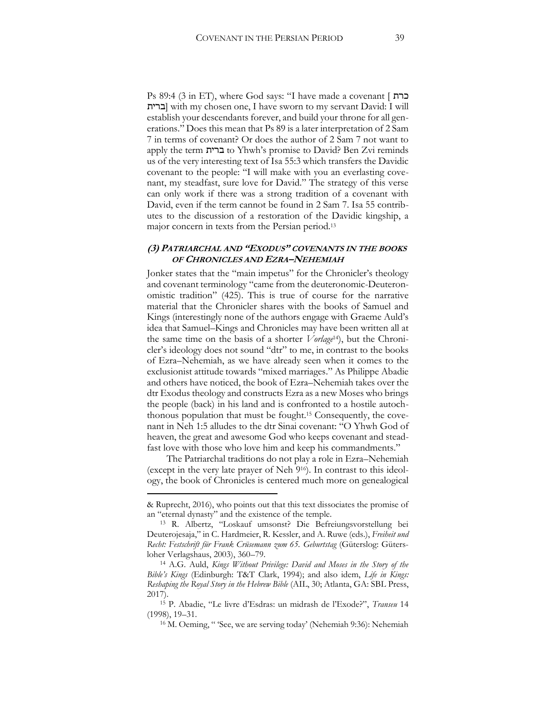Ps 89:4 (3 in ET), where God says: "I have made a covenant [ כרת ברית [with my chosen one, I have sworn to my servant David: I will establish your descendants forever, and build your throne for all generations." Does this mean that Ps 89 is a later interpretation of 2 Sam 7 in terms of covenant? Or does the author of 2 Sam 7 not want to apply the term ברית to Yhwh's promise to David? Ben Zvi reminds us of the very interesting text of Isa 55:3 which transfers the Davidic covenant to the people: "I will make with you an everlasting covenant, my steadfast, sure love for David." The strategy of this verse can only work if there was a strong tradition of a covenant with David, even if the term cannot be found in 2 Sam 7. Isa 55 contributes to the discussion of a restoration of the Davidic kingship, a major concern in texts from the Persian period.<sup>13</sup>

#### **(3) PATRIARCHAL AND "EXODUS" COVENANTS IN THE BOOKS OF CHRONICLES AND EZRA–NEHEMIAH**

Jonker states that the "main impetus" for the Chronicler's theology and covenant terminology "came from the deuteronomic-Deuteronomistic tradition" (425). This is true of course for the narrative material that the Chronicler shares with the books of Samuel and Kings (interestingly none of the authors engage with Graeme Auld's idea that Samuel–Kings and Chronicles may have been written all at the same time on the basis of a shorter *Vorlage*14), but the Chronicler's ideology does not sound "dtr" to me, in contrast to the books of Ezra–Nehemiah, as we have already seen when it comes to the exclusionist attitude towards "mixed marriages." As Philippe Abadie and others have noticed, the book of Ezra–Nehemiah takes over the dtr Exodus theology and constructs Ezra as a new Moses who brings the people (back) in his land and is confronted to a hostile autochthonous population that must be fought.<sup>15</sup> Consequently, the covenant in Neh 1:5 alludes to the dtr Sinai covenant: "O Yhwh God of heaven, the great and awesome God who keeps covenant and steadfast love with those who love him and keep his commandments."

The Patriarchal traditions do not play a role in Ezra–Nehemiah (except in the very late prayer of Neh 916). In contrast to this ideology, the book of Chronicles is centered much more on genealogical

<sup>&</sup>amp; Ruprecht, 2016), who points out that this text dissociates the promise of an "eternal dynasty" and the existence of the temple.

<sup>13</sup> R. Albertz, "Loskauf umsonst? Die Befreiungsvorstellung bei Deuterojesaja," in C. Hardmeier, R. Kessler, and A. Ruwe (eds.), *Freiheit und Recht: Festschrift für Frank Crüsemann zum 65. Geburtstag* (Güterslog: Gütersloher Verlagshaus, 2003), 360–79.

<sup>14</sup> A.G. Auld, *Kings Without Privilege: David and Moses in the Story of the Bible's Kings* (Edinburgh: T&T Clark, 1994); and also idem, *Life in Kings: Reshaping the Royal Story in the Hebrew Bible* (AIL, 30; Atlanta, GA: SBL Press, 2017).

<sup>15</sup> P. Abadie, "Le livre d'Esdras: un midrash de l'Exode?", *Transeu* 14 (1998), 19–31.

<sup>16</sup> M. Oeming, " 'See, we are serving today' (Nehemiah 9:36): Nehemiah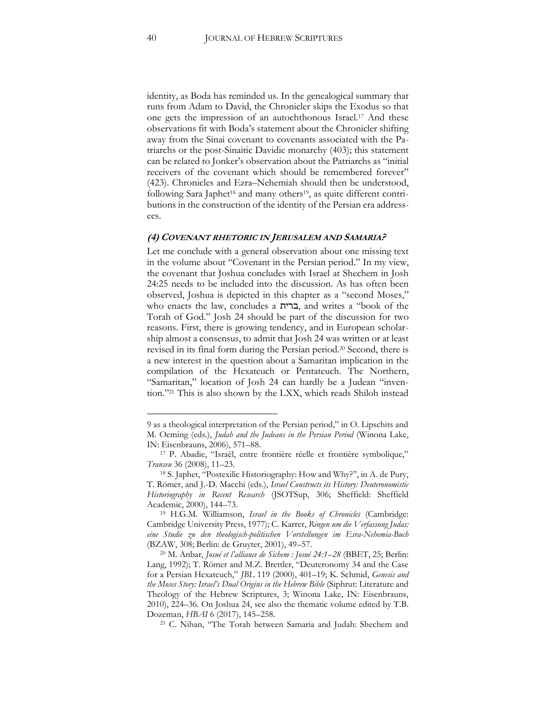identity, as Boda has reminded us. In the genealogical summary that runs from Adam to David, the Chronicler skips the Exodus so that one gets the impression of an autochthonous Israel.<sup>17</sup> And these observations fit with Boda's statement about the Chronicler shifting away from the Sinai covenant to covenants associated with the Patriarchs or the post-Sinaitic Davidic monarchy (403); this statement can be related to Jonker's observation about the Patriarchs as "initial receivers of the covenant which should be remembered forever" (423). Chronicles and Ezra–Nehemiah should then be understood, following Sara Japhet<sup>18</sup> and many others<sup>19</sup>, as quite different contributions in the construction of the identity of the Persian era addressees.

#### **(4) COVENANT RHETORIC IN JERUSALEM AND SAMARIA?**

Let me conclude with a general observation about one missing text in the volume about "Covenant in the Persian period." In my view, the covenant that Joshua concludes with Israel at Shechem in Josh 24:25 needs to be included into the discussion. As has often been observed, Joshua is depicted in this chapter as a "second Moses," who enacts the law, concludes a ברית, and writes a "book of the Torah of God." Josh 24 should be part of the discussion for two reasons. First, there is growing tendency, and in European scholarship almost a consensus, to admit that Josh 24 was written or at least revised in its final form during the Persian period.<sup>20</sup> Second, there is a new interest in the question about a Samaritan implication in the compilation of the Hexateuch or Pentateuch. The Northern, "Samaritan," location of Josh 24 can hardly be a Judean "invention."<sup>21</sup> This is also shown by the LXX, which reads Shiloh instead

<sup>9</sup> as a theological interpretation of the Persian period," in O. Lipschits and M. Oeming (eds.), *Judah and the Judeans in the Persian Period* (Winona Lake, IN: Eisenbrauns, 2006), 571–88.

<sup>17</sup> P. Abadie, "Israël, entre frontière réelle et frontière symbolique," *Transeu* 36 (2008), 11–23.

<sup>18</sup> S. Japhet, "Postexilic Historiography: How and Why?", in A. de Pury, T. Römer, and J.-D. Macchi (eds.), *Israel Constructs its History: Deuteronomistic Historiography in Recent Research* (JSOTSup, 306; Sheffield: Sheffield Academic, 2000), 144–73.

<sup>19</sup> H.G.M. Williamson, *Israel in the Books of Chronicles* (Cambridge: Cambridge University Press, 1977); C. Karrer, *Ringen um die Verfassung Judas: eine Studie zu den theologisch-politischen Vorstellungen im Esra-Nehemia-Buch*  (BZAW, 308; Berlin: de Gruyter, 2001), 49–57.

<sup>20</sup> M. Anbar, *Josué et l'alliance de Sichem : Josué 24:1–28* (BBET, 25; Berlin: Lang, 1992); T. Römer and M.Z. Brettler, "Deuteronomy 34 and the Case for a Persian Hexateuch," *JBL* 119 (2000), 401–19; K. Schmid, *Genesis and the Moses Story: Israel's Dual Origins in the Hebrew Bible* (Siphrut: Literature and Theology of the Hebrew Scriptures, 3; Winona Lake, IN: Eisenbrauns, 2010), 224–36. On Joshua 24, see also the thematic volume edited by T.B. Dozeman, *HBAI* 6 (2017), 145–258.

<sup>21</sup> C. Nihan, "The Torah between Samaria and Judah: Shechem and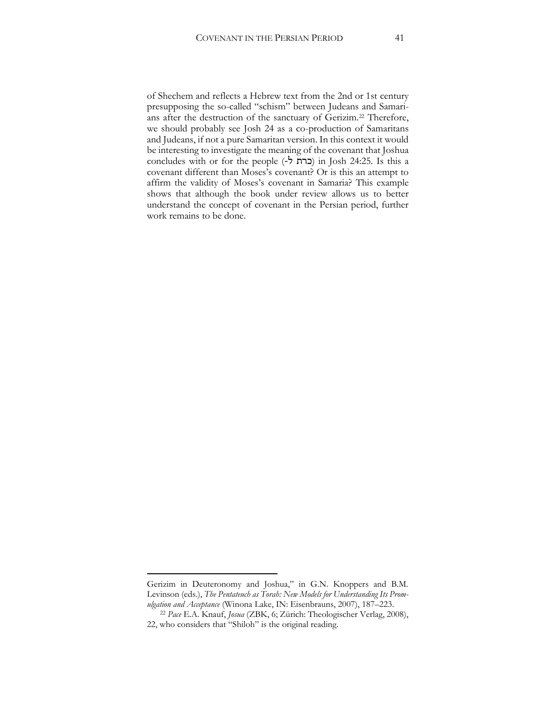of Shechem and reflects a Hebrew text from the 2nd or 1st century presupposing the so-called "schism" between Judeans and Samarians after the destruction of the sanctuary of Gerizim.<sup>22</sup> Therefore, we should probably see Josh 24 as a co-production of Samaritans and Judeans, if not a pure Samaritan version. In this context it would be interesting to investigate the meaning of the covenant that Joshua concludes with or for the people (-ל כרת (in Josh 24:25. Is this a covenant different than Moses's covenant? Or is this an attempt to affirm the validity of Moses's covenant in Samaria? This example shows that although the book under review allows us to better understand the concept of covenant in the Persian period, further work remains to be done.

Gerizim in Deuteronomy and Joshua," in G.N. Knoppers and B.M. Levinson (eds.), *The Pentateuch as Torah: New Models for Understanding Its Promulgation and Acceptance* (Winona Lake, IN: Eisenbrauns, 2007), 187–223.

<sup>22</sup> *Pace* E.A. Knauf, *Josua* (ZBK, 6; Zürich: Theologischer Verlag, 2008), 22, who considers that "Shiloh" is the original reading.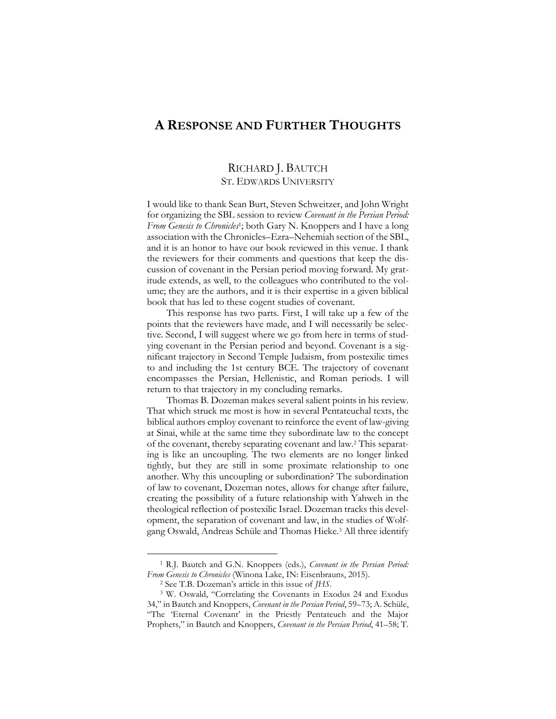## <span id="page-43-0"></span>**A RESPONSE AND FURTHER THOUGHTS**

#### RICHARD J. BAUTCH ST. EDWARDS UNIVERSITY

I would like to thank Sean Burt, Steven Schweitzer, and John Wright for organizing the SBL session to review *Covenant in the Persian Period:*  From Genesis to Chronicles<sup>1</sup>; both Gary N. Knoppers and I have a long association with the Chronicles–Ezra–Nehemiah section of the SBL, and it is an honor to have our book reviewed in this venue. I thank the reviewers for their comments and questions that keep the discussion of covenant in the Persian period moving forward. My gratitude extends, as well, to the colleagues who contributed to the volume; they are the authors, and it is their expertise in a given biblical book that has led to these cogent studies of covenant.

This response has two parts. First, I will take up a few of the points that the reviewers have made, and I will necessarily be selective. Second, I will suggest where we go from here in terms of studying covenant in the Persian period and beyond. Covenant is a significant trajectory in Second Temple Judaism, from postexilic times to and including the 1st century BCE. The trajectory of covenant encompasses the Persian, Hellenistic, and Roman periods. I will return to that trajectory in my concluding remarks.

Thomas B. Dozeman makes several salient points in his review. That which struck me most is how in several Pentateuchal texts, the biblical authors employ covenant to reinforce the event of law-giving at Sinai, while at the same time they subordinate law to the concept of the covenant, thereby separating covenant and law.<sup>2</sup> This separating is like an uncoupling. The two elements are no longer linked tightly, but they are still in some proximate relationship to one another. Why this uncoupling or subordination? The subordination of law to covenant, Dozeman notes, allows for change after failure, creating the possibility of a future relationship with Yahweh in the theological reflection of postexilic Israel. Dozeman tracks this development, the separation of covenant and law, in the studies of Wolfgang Oswald, Andreas Schüle and Thomas Hieke.<sup>3</sup> All three identify

<sup>1</sup> R.J. Bautch and G.N. Knoppers (eds.), *Covenant in the Persian Period: From Genesis to Chronicles* (Winona Lake, IN: Eisenbrauns, 2015).

<sup>2</sup> See T.B. Dozeman's article in this issue of *JHS*.

<sup>3</sup> W. Oswald, "Correlating the Covenants in Exodus 24 and Exodus 34," in Bautch and Knoppers, *Covenant in the Persian Period*, 59–73; A. Schüle, "The 'Eternal Covenant' in the Priestly Pentateuch and the Major Prophets," in Bautch and Knoppers, *Covenant in the Persian Period*, 41–58; T.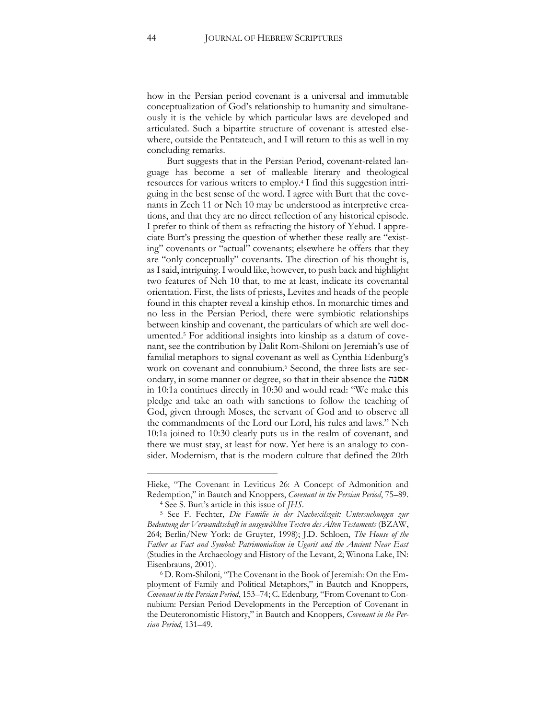how in the Persian period covenant is a universal and immutable conceptualization of God's relationship to humanity and simultaneously it is the vehicle by which particular laws are developed and articulated. Such a bipartite structure of covenant is attested elsewhere, outside the Pentateuch, and I will return to this as well in my concluding remarks.

Burt suggests that in the Persian Period, covenant-related language has become a set of malleable literary and theological resources for various writers to employ.<sup>4</sup> I find this suggestion intriguing in the best sense of the word. I agree with Burt that the covenants in Zech 11 or Neh 10 may be understood as interpretive creations, and that they are no direct reflection of any historical episode. I prefer to think of them as refracting the history of Yehud. I appreciate Burt's pressing the question of whether these really are "existing" covenants or "actual" covenants; elsewhere he offers that they are "only conceptually" covenants. The direction of his thought is, as I said, intriguing. I would like, however, to push back and highlight two features of Neh 10 that, to me at least, indicate its covenantal orientation. First, the lists of priests, Levites and heads of the people found in this chapter reveal a kinship ethos. In monarchic times and no less in the Persian Period, there were symbiotic relationships between kinship and covenant, the particulars of which are well documented.<sup>5</sup> For additional insights into kinship as a datum of covenant, see the contribution by Dalit Rom-Shiloni on Jeremiah's use of familial metaphors to signal covenant as well as Cynthia Edenburg's work on covenant and connubium. <sup>6</sup> Second, the three lists are secondary, in some manner or degree, so that in their absence the אמנה in 10:1a continues directly in 10:30 and would read: "We make this pledge and take an oath with sanctions to follow the teaching of God, given through Moses, the servant of God and to observe all the commandments of the Lord our Lord, his rules and laws." Neh 10:1a joined to 10:30 clearly puts us in the realm of covenant, and there we must stay, at least for now. Yet here is an analogy to consider. Modernism, that is the modern culture that defined the 20th

Hieke, "The Covenant in Leviticus 26: A Concept of Admonition and Redemption," in Bautch and Knoppers, *Covenant in the Persian Period*, 75–89. <sup>4</sup> See S. Burt's article in this issue of *JHS*.

<sup>5</sup> See F. Fechter, *Die Familie in der Nachexilszeit: Untersuchungen zur Bedeutung der Verwandtschaft in ausgewählten Texten des Alten Testaments* (BZAW, 264; Berlin/New York: de Gruyter, 1998); J.D. Schloen, *The House of the Father as Fact and Symbol: Patrimonialism in Ugarit and the Ancient Near East*  (Studies in the Archaeology and History of the Levant, 2; Winona Lake, IN: Eisenbrauns, 2001).

<sup>6</sup> D. Rom-Shiloni, "The Covenant in the Book of Jeremiah: On the Employment of Family and Political Metaphors," in Bautch and Knoppers, *Covenant in the Persian Period*, 153–74; C. Edenburg, "From Covenant to Connubium: Persian Period Developments in the Perception of Covenant in the Deuteronomistic History," in Bautch and Knoppers, *Covenant in the Persian Period*, 131–49.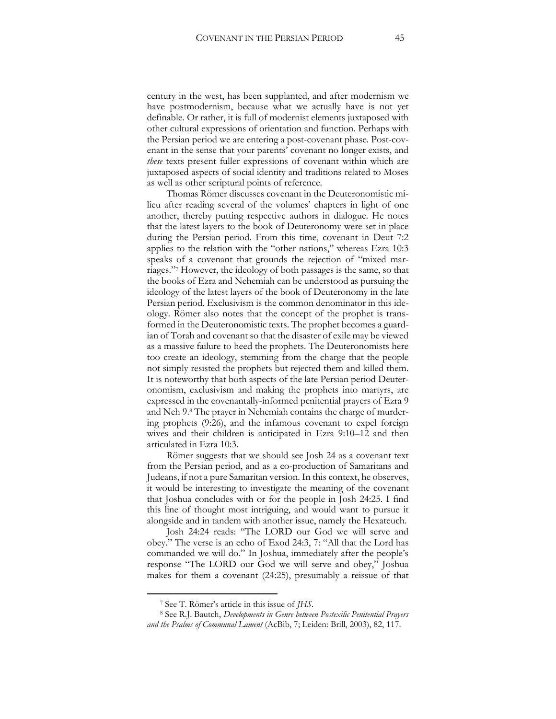century in the west, has been supplanted, and after modernism we have postmodernism, because what we actually have is not yet definable. Or rather, it is full of modernist elements juxtaposed with other cultural expressions of orientation and function. Perhaps with the Persian period we are entering a post-covenant phase. Post-covenant in the sense that your parents' covenant no longer exists, and *these* texts present fuller expressions of covenant within which are juxtaposed aspects of social identity and traditions related to Moses as well as other scriptural points of reference.

Thomas Römer discusses covenant in the Deuteronomistic milieu after reading several of the volumes' chapters in light of one another, thereby putting respective authors in dialogue. He notes that the latest layers to the book of Deuteronomy were set in place during the Persian period. From this time, covenant in Deut 7:2 applies to the relation with the "other nations," whereas Ezra 10:3 speaks of a covenant that grounds the rejection of "mixed marriages."<sup>7</sup> However, the ideology of both passages is the same, so that the books of Ezra and Nehemiah can be understood as pursuing the ideology of the latest layers of the book of Deuteronomy in the late Persian period. Exclusivism is the common denominator in this ideology. Römer also notes that the concept of the prophet is transformed in the Deuteronomistic texts. The prophet becomes a guardian of Torah and covenant so that the disaster of exile may be viewed as a massive failure to heed the prophets. The Deuteronomists here too create an ideology, stemming from the charge that the people not simply resisted the prophets but rejected them and killed them. It is noteworthy that both aspects of the late Persian period Deuteronomism, exclusivism and making the prophets into martyrs, are expressed in the covenantally-informed penitential prayers of Ezra 9 and Neh 9.<sup>8</sup> The prayer in Nehemiah contains the charge of murdering prophets (9:26), and the infamous covenant to expel foreign wives and their children is anticipated in Ezra 9:10–12 and then articulated in Ezra 10:3.

Römer suggests that we should see Josh 24 as a covenant text from the Persian period, and as a co-production of Samaritans and Judeans, if not a pure Samaritan version. In this context, he observes, it would be interesting to investigate the meaning of the covenant that Joshua concludes with or for the people in Josh 24:25. I find this line of thought most intriguing, and would want to pursue it alongside and in tandem with another issue, namely the Hexateuch.

Josh 24:24 reads: "The LORD our God we will serve and obey." The verse is an echo of Exod 24:3, 7: "All that the Lord has commanded we will do." In Joshua, immediately after the people's response "The LORD our God we will serve and obey," Joshua makes for them a covenant (24:25), presumably a reissue of that

<sup>7</sup> See T. Römer's article in this issue of *JHS*.

<sup>8</sup> See R.J. Bautch, *Developments in Genre between Postexilic Penitential Prayers and the Psalms of Communal Lament* (AcBib, 7; Leiden: Brill, 2003), 82, 117.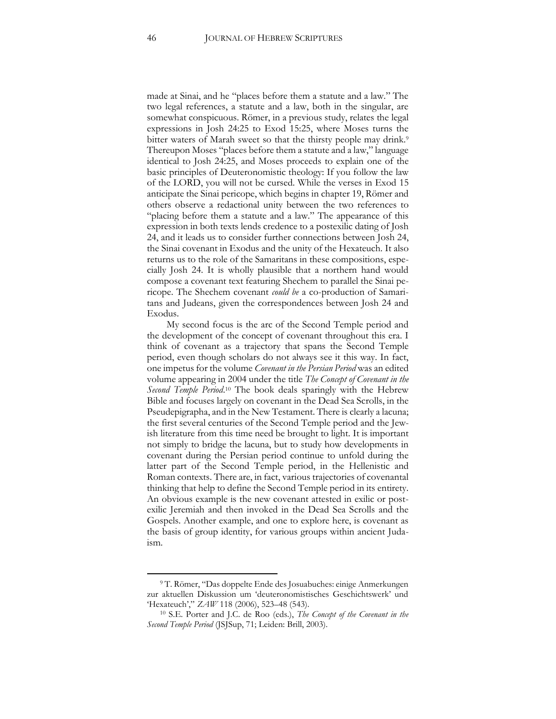made at Sinai, and he "places before them a statute and a law." The two legal references, a statute and a law, both in the singular, are somewhat conspicuous. Römer, in a previous study, relates the legal expressions in Josh 24:25 to Exod 15:25, where Moses turns the bitter waters of Marah sweet so that the thirsty people may drink.<sup>9</sup> Thereupon Moses "places before them a statute and a law," language identical to Josh 24:25, and Moses proceeds to explain one of the basic principles of Deuteronomistic theology: If you follow the law of the LORD, you will not be cursed. While the verses in Exod 15 anticipate the Sinai pericope, which begins in chapter 19, Römer and others observe a redactional unity between the two references to "placing before them a statute and a law." The appearance of this expression in both texts lends credence to a postexilic dating of Josh 24, and it leads us to consider further connections between Josh 24, the Sinai covenant in Exodus and the unity of the Hexateuch. It also returns us to the role of the Samaritans in these compositions, especially Josh 24. It is wholly plausible that a northern hand would compose a covenant text featuring Shechem to parallel the Sinai pericope. The Shechem covenant *could be* a co-production of Samaritans and Judeans, given the correspondences between Josh 24 and Exodus.

My second focus is the arc of the Second Temple period and the development of the concept of covenant throughout this era. I think of covenant as a trajectory that spans the Second Temple period, even though scholars do not always see it this way. In fact, one impetus for the volume *Covenant in the Persian Period* was an edited volume appearing in 2004 under the title *The Concept of Covenant in the*  Second Temple Period.<sup>10</sup> The book deals sparingly with the Hebrew Bible and focuses largely on covenant in the Dead Sea Scrolls, in the Pseudepigrapha, and in the New Testament. There is clearly a lacuna; the first several centuries of the Second Temple period and the Jewish literature from this time need be brought to light. It is important not simply to bridge the lacuna, but to study how developments in covenant during the Persian period continue to unfold during the latter part of the Second Temple period, in the Hellenistic and Roman contexts. There are, in fact, various trajectories of covenantal thinking that help to define the Second Temple period in its entirety. An obvious example is the new covenant attested in exilic or postexilic Jeremiah and then invoked in the Dead Sea Scrolls and the Gospels. Another example, and one to explore here, is covenant as the basis of group identity, for various groups within ancient Judaism.

<sup>9</sup> T. Römer, "Das doppelte Ende des Josuabuches: einige Anmerkungen zur aktuellen Diskussion um 'deuteronomistisches Geschichtswerk' und 'Hexateuch'," *ZAW* 118 (2006), 523–48 (543).

<sup>10</sup> S.E. Porter and J.C. de Roo (eds.), *The Concept of the Covenant in the Second Temple Period* (JSJSup, 71; Leiden: Brill, 2003).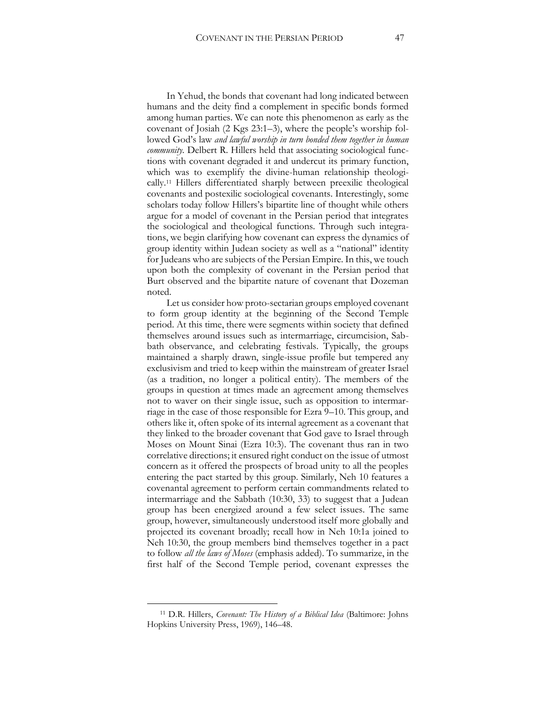In Yehud, the bonds that covenant had long indicated between humans and the deity find a complement in specific bonds formed among human parties. We can note this phenomenon as early as the covenant of Josiah (2 Kgs 23:1–3), where the people's worship followed God's law *and lawful worship in turn bonded them together in human community.* Delbert R. Hillers held that associating sociological functions with covenant degraded it and undercut its primary function, which was to exemplify the divine-human relationship theologically.<sup>11</sup> Hillers differentiated sharply between preexilic theological covenants and postexilic sociological covenants. Interestingly, some scholars today follow Hillers's bipartite line of thought while others argue for a model of covenant in the Persian period that integrates the sociological and theological functions. Through such integrations, we begin clarifying how covenant can express the dynamics of group identity within Judean society as well as a "national" identity for Judeans who are subjects of the Persian Empire. In this, we touch upon both the complexity of covenant in the Persian period that Burt observed and the bipartite nature of covenant that Dozeman noted.

Let us consider how proto-sectarian groups employed covenant to form group identity at the beginning of the Second Temple period. At this time, there were segments within society that defined themselves around issues such as intermarriage, circumcision, Sabbath observance, and celebrating festivals. Typically, the groups maintained a sharply drawn, single-issue profile but tempered any exclusivism and tried to keep within the mainstream of greater Israel (as a tradition, no longer a political entity). The members of the groups in question at times made an agreement among themselves not to waver on their single issue, such as opposition to intermarriage in the case of those responsible for Ezra 9–10. This group, and others like it, often spoke of its internal agreement as a covenant that they linked to the broader covenant that God gave to Israel through Moses on Mount Sinai (Ezra 10:3). The covenant thus ran in two correlative directions; it ensured right conduct on the issue of utmost concern as it offered the prospects of broad unity to all the peoples entering the pact started by this group. Similarly, Neh 10 features a covenantal agreement to perform certain commandments related to intermarriage and the Sabbath (10:30, 33) to suggest that a Judean group has been energized around a few select issues. The same group, however, simultaneously understood itself more globally and projected its covenant broadly; recall how in Neh 10:1a joined to Neh 10:30, the group members bind themselves together in a pact to follow *all the laws of Moses* (emphasis added). To summarize, in the first half of the Second Temple period, covenant expresses the

<sup>11</sup> D.R. Hillers, *Covenant: The History of a Biblical Idea* (Baltimore: Johns Hopkins University Press, 1969), 146–48.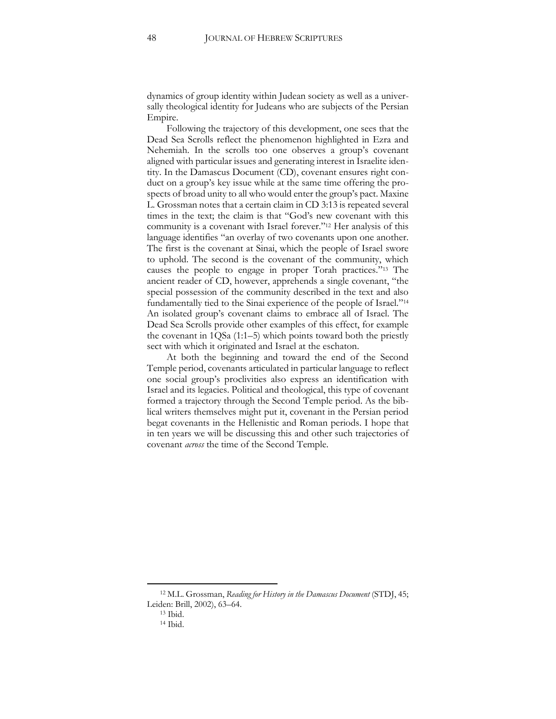dynamics of group identity within Judean society as well as a universally theological identity for Judeans who are subjects of the Persian Empire.

Following the trajectory of this development, one sees that the Dead Sea Scrolls reflect the phenomenon highlighted in Ezra and Nehemiah. In the scrolls too one observes a group's covenant aligned with particular issues and generating interest in Israelite identity. In the Damascus Document (CD), covenant ensures right conduct on a group's key issue while at the same time offering the prospects of broad unity to all who would enter the group's pact. Maxine L. Grossman notes that a certain claim in CD 3:13 is repeated several times in the text; the claim is that "God's new covenant with this community is a covenant with Israel forever."<sup>12</sup> Her analysis of this language identifies "an overlay of two covenants upon one another. The first is the covenant at Sinai, which the people of Israel swore to uphold. The second is the covenant of the community, which causes the people to engage in proper Torah practices."<sup>13</sup> The ancient reader of CD, however, apprehends a single covenant, "the special possession of the community described in the text and also fundamentally tied to the Sinai experience of the people of Israel."<sup>14</sup> An isolated group's covenant claims to embrace all of Israel. The Dead Sea Scrolls provide other examples of this effect, for example the covenant in 1QSa (1:1–5) which points toward both the priestly sect with which it originated and Israel at the eschaton.

At both the beginning and toward the end of the Second Temple period, covenants articulated in particular language to reflect one social group's proclivities also express an identification with Israel and its legacies. Political and theological, this type of covenant formed a trajectory through the Second Temple period. As the biblical writers themselves might put it, covenant in the Persian period begat covenants in the Hellenistic and Roman periods. I hope that in ten years we will be discussing this and other such trajectories of covenant *across* the time of the Second Temple.

<sup>12</sup> M.L. Grossman, *Reading for History in the Damascus Document* (STDJ, 45; Leiden: Brill, 2002), 63–64.

<sup>13</sup> Ibid.

<sup>14</sup> Ibid.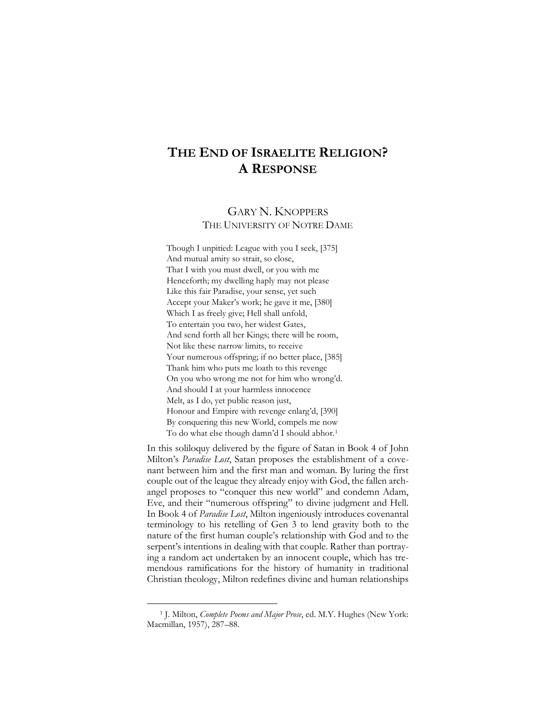## <span id="page-49-0"></span>**THE END OF ISRAELITE RELIGION? A RESPONSE**

#### GARY N. KNOPPERS THE UNIVERSITY OF NOTRE DAME

Though I unpitied: League with you I seek, [375] And mutual amity so strait, so close, That I with you must dwell, or you with me Henceforth; my dwelling haply may not please Like this fair Paradise, your sense, yet such Accept your Maker's work; he gave it me, [380] Which I as freely give; Hell shall unfold, To entertain you two, her widest Gates, And send forth all her Kings; there will be room, Not like these narrow limits, to receive Your numerous offspring; if no better place, [385] Thank him who puts me loath to this revenge On you who wrong me not for him who wrong'd. And should I at your harmless innocence Melt, as I do, yet public reason just, Honour and Empire with revenge enlarg'd, [390] By conquering this new World, compels me now To do what else though damn'd I should abhor.<sup>1</sup>

In this soliloquy delivered by the figure of Satan in Book 4 of John Milton's *Paradise Lost*, Satan proposes the establishment of a covenant between him and the first man and woman. By luring the first couple out of the league they already enjoy with God, the fallen archangel proposes to "conquer this new world" and condemn Adam, Eve, and their "numerous offspring" to divine judgment and Hell. In Book 4 of *Paradise Lost*, Milton ingeniously introduces covenantal terminology to his retelling of Gen 3 to lend gravity both to the nature of the first human couple's relationship with God and to the serpent's intentions in dealing with that couple. Rather than portraying a random act undertaken by an innocent couple, which has tremendous ramifications for the history of humanity in traditional Christian theology, Milton redefines divine and human relationships

<sup>1</sup> J. Milton, *Complete Poems and Major Prose*, ed. M.Y. Hughes (New York: Macmillan, 1957), 287–88.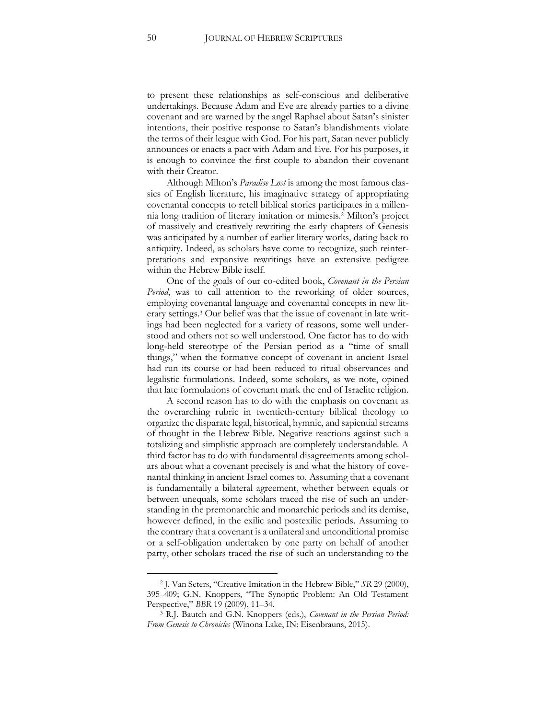to present these relationships as self-conscious and deliberative undertakings. Because Adam and Eve are already parties to a divine covenant and are warned by the angel Raphael about Satan's sinister intentions, their positive response to Satan's blandishments violate the terms of their league with God. For his part, Satan never publicly announces or enacts a pact with Adam and Eve. For his purposes, it is enough to convince the first couple to abandon their covenant with their Creator.

Although Milton's *Paradise Lost* is among the most famous classics of English literature, his imaginative strategy of appropriating covenantal concepts to retell biblical stories participates in a millennia long tradition of literary imitation or mimesis.<sup>2</sup> Milton's project of massively and creatively rewriting the early chapters of Genesis was anticipated by a number of earlier literary works, dating back to antiquity. Indeed, as scholars have come to recognize, such reinterpretations and expansive rewritings have an extensive pedigree within the Hebrew Bible itself.

One of the goals of our co-edited book, *Covenant in the Persian Period*, was to call attention to the reworking of older sources, employing covenantal language and covenantal concepts in new literary settings.<sup>3</sup> Our belief was that the issue of covenant in late writings had been neglected for a variety of reasons, some well understood and others not so well understood. One factor has to do with long-held stereotype of the Persian period as a "time of small things," when the formative concept of covenant in ancient Israel had run its course or had been reduced to ritual observances and legalistic formulations. Indeed, some scholars, as we note, opined that late formulations of covenant mark the end of Israelite religion.

A second reason has to do with the emphasis on covenant as the overarching rubric in twentieth-century biblical theology to organize the disparate legal, historical, hymnic, and sapiential streams of thought in the Hebrew Bible. Negative reactions against such a totalizing and simplistic approach are completely understandable. A third factor has to do with fundamental disagreements among scholars about what a covenant precisely is and what the history of covenantal thinking in ancient Israel comes to. Assuming that a covenant is fundamentally a bilateral agreement, whether between equals or between unequals, some scholars traced the rise of such an understanding in the premonarchic and monarchic periods and its demise, however defined, in the exilic and postexilic periods. Assuming to the contrary that a covenant is a unilateral and unconditional promise or a self-obligation undertaken by one party on behalf of another party, other scholars traced the rise of such an understanding to the

<sup>2</sup> J. Van Seters, "Creative Imitation in the Hebrew Bible," *SR* 29 (2000), 395–409; G.N. Knoppers, "The Synoptic Problem: An Old Testament Perspective," *BBR* 19 (2009), 11–34.

<sup>3</sup> R.J. Bautch and G.N. Knoppers (eds.), *Covenant in the Persian Period: From Genesis to Chronicles* (Winona Lake, IN: Eisenbrauns, 2015).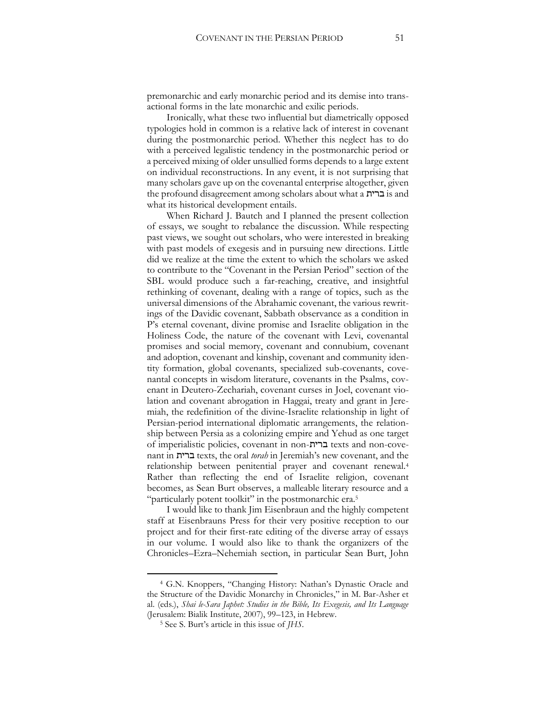premonarchic and early monarchic period and its demise into transactional forms in the late monarchic and exilic periods.

Ironically, what these two influential but diametrically opposed typologies hold in common is a relative lack of interest in covenant during the postmonarchic period. Whether this neglect has to do with a perceived legalistic tendency in the postmonarchic period or a perceived mixing of older unsullied forms depends to a large extent on individual reconstructions. In any event, it is not surprising that many scholars gave up on the covenantal enterprise altogether, given the profound disagreement among scholars about what a ברית is and what its historical development entails.

When Richard J. Bautch and I planned the present collection of essays, we sought to rebalance the discussion. While respecting past views, we sought out scholars, who were interested in breaking with past models of exegesis and in pursuing new directions. Little did we realize at the time the extent to which the scholars we asked to contribute to the "Covenant in the Persian Period" section of the SBL would produce such a far-reaching, creative, and insightful rethinking of covenant, dealing with a range of topics, such as the universal dimensions of the Abrahamic covenant, the various rewritings of the Davidic covenant, Sabbath observance as a condition in P's eternal covenant, divine promise and Israelite obligation in the Holiness Code, the nature of the covenant with Levi, covenantal promises and social memory, covenant and connubium, covenant and adoption, covenant and kinship, covenant and community identity formation, global covenants, specialized sub-covenants, covenantal concepts in wisdom literature, covenants in the Psalms, covenant in Deutero-Zechariah, covenant curses in Joel, covenant violation and covenant abrogation in Haggai, treaty and grant in Jeremiah, the redefinition of the divine-Israelite relationship in light of Persian-period international diplomatic arrangements, the relationship between Persia as a colonizing empire and Yehud as one target of imperialistic policies, covenant in non-ברית texts and non-covenant in ברית texts, the oral *torah* in Jeremiah's new covenant, and the relationship between penitential prayer and covenant renewal.<sup>4</sup> Rather than reflecting the end of Israelite religion, covenant becomes, as Sean Burt observes, a malleable literary resource and a "particularly potent toolkit" in the postmonarchic era.<sup>5</sup>

I would like to thank Jim Eisenbraun and the highly competent staff at Eisenbrauns Press for their very positive reception to our project and for their first-rate editing of the diverse array of essays in our volume. I would also like to thank the organizers of the Chronicles–Ezra–Nehemiah section, in particular Sean Burt, John

<sup>4</sup> G.N. Knoppers, "Changing History: Nathan's Dynastic Oracle and the Structure of the Davidic Monarchy in Chronicles," in M. Bar-Asher et al. (eds.), *Shai le-Sara Japhet: Studies in the Bible, Its Exegesis, and Its Language*  (Jerusalem: Bialik Institute, 2007), 99–123, in Hebrew.

<sup>5</sup> See S. Burt's article in this issue of *JHS*.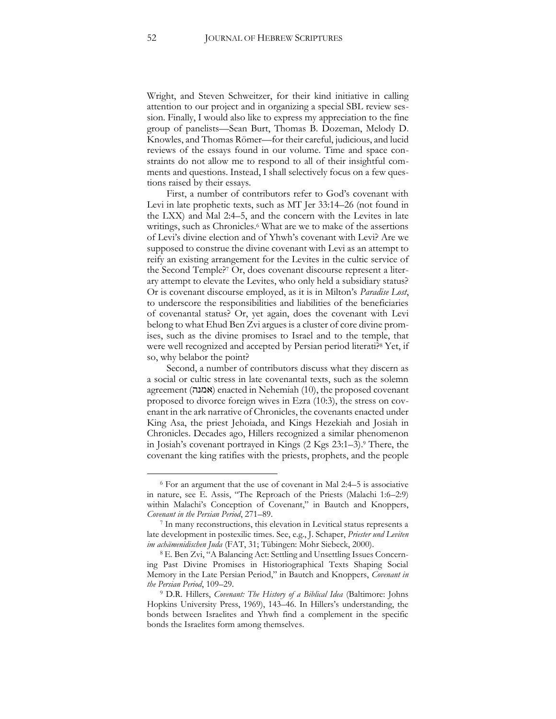Wright, and Steven Schweitzer, for their kind initiative in calling attention to our project and in organizing a special SBL review session. Finally, I would also like to express my appreciation to the fine group of panelists—Sean Burt, Thomas B. Dozeman, Melody D. Knowles, and Thomas Römer—for their careful, judicious, and lucid reviews of the essays found in our volume. Time and space constraints do not allow me to respond to all of their insightful comments and questions. Instead, I shall selectively focus on a few questions raised by their essays.

First, a number of contributors refer to God's covenant with Levi in late prophetic texts, such as MT Jer 33:14–26 (not found in the LXX) and Mal 2:4–5, and the concern with the Levites in late writings, such as Chronicles.<sup>6</sup> What are we to make of the assertions of Levi's divine election and of Yhwh's covenant with Levi? Are we supposed to construe the divine covenant with Levi as an attempt to reify an existing arrangement for the Levites in the cultic service of the Second Temple?<sup>7</sup> Or, does covenant discourse represent a literary attempt to elevate the Levites, who only held a subsidiary status? Or is covenant discourse employed, as it is in Milton's *Paradise Lost*, to underscore the responsibilities and liabilities of the beneficiaries of covenantal status? Or, yet again, does the covenant with Levi belong to what Ehud Ben Zvi argues is a cluster of core divine promises, such as the divine promises to Israel and to the temple, that were well recognized and accepted by Persian period literati?<sup>8</sup> Yet, if so, why belabor the point?

Second, a number of contributors discuss what they discern as a social or cultic stress in late covenantal texts, such as the solemn agreement (אמנה) enacted in Nehemiah (10), the proposed covenant proposed to divorce foreign wives in Ezra (10:3), the stress on covenant in the ark narrative of Chronicles, the covenants enacted under King Asa, the priest Jehoiada, and Kings Hezekiah and Josiah in Chronicles. Decades ago, Hillers recognized a similar phenomenon in Josiah's covenant portrayed in Kings (2 Kgs 23:1–3).<sup>9</sup> There, the covenant the king ratifies with the priests, prophets, and the people

<sup>6</sup> For an argument that the use of covenant in Mal 2:4–5 is associative in nature, see E. Assis, "The Reproach of the Priests (Malachi 1:6–2:9) within Malachi's Conception of Covenant," in Bautch and Knoppers, *Covenant in the Persian Period*, 271–89.

<sup>7</sup> In many reconstructions, this elevation in Levitical status represents a late development in postexilic times. See, e.g., J. Schaper, *Priester und Leviten im achämenidischen Juda* (FAT, 31; Tübingen: Mohr Siebeck, 2000).

<sup>8</sup> E. Ben Zvi, "A Balancing Act: Settling and Unsettling Issues Concerning Past Divine Promises in Historiographical Texts Shaping Social Memory in the Late Persian Period," in Bautch and Knoppers, *Covenant in the Persian Period*, 109–29.

<sup>9</sup> D.R. Hillers, *Covenant: The History of a Biblical Idea* (Baltimore: Johns Hopkins University Press, 1969), 143–46. In Hillers's understanding, the bonds between Israelites and Yhwh find a complement in the specific bonds the Israelites form among themselves.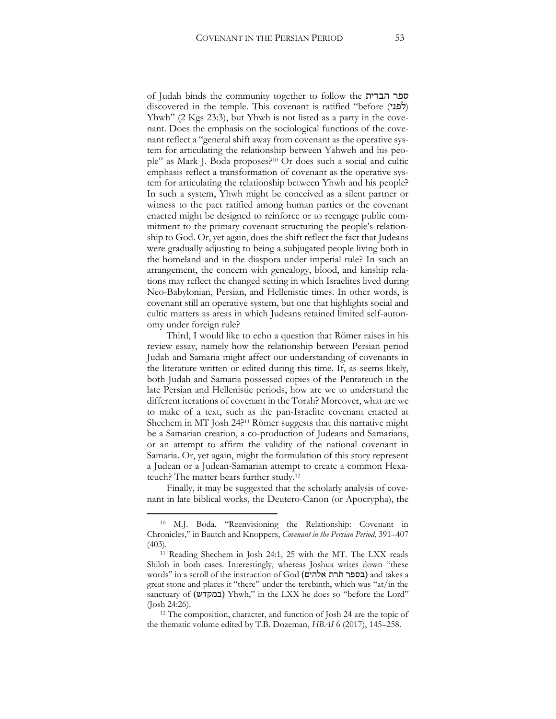of Judah binds the community together to follow the הברית ספר discovered in the temple. This covenant is ratified "before  $(\overrightarrow{p})$ Yhwh" (2 Kgs 23:3), but Yhwh is not listed as a party in the covenant. Does the emphasis on the sociological functions of the covenant reflect a "general shift away from covenant as the operative system for articulating the relationship between Yahweh and his people" as Mark J. Boda proposes?<sup>10</sup> Or does such a social and cultic emphasis reflect a transformation of covenant as the operative system for articulating the relationship between Yhwh and his people? In such a system, Yhwh might be conceived as a silent partner or witness to the pact ratified among human parties or the covenant enacted might be designed to reinforce or to reengage public commitment to the primary covenant structuring the people's relationship to God. Or, yet again, does the shift reflect the fact that Judeans were gradually adjusting to being a subjugated people living both in the homeland and in the diaspora under imperial rule? In such an arrangement, the concern with genealogy, blood, and kinship relations may reflect the changed setting in which Israelites lived during Neo-Babylonian, Persian, and Hellenistic times. In other words, is covenant still an operative system, but one that highlights social and cultic matters as areas in which Judeans retained limited self-autonomy under foreign rule?

Third, I would like to echo a question that Römer raises in his review essay, namely how the relationship between Persian period Judah and Samaria might affect our understanding of covenants in the literature written or edited during this time. If, as seems likely, both Judah and Samaria possessed copies of the Pentateuch in the late Persian and Hellenistic periods, how are we to understand the different iterations of covenant in the Torah? Moreover, what are we to make of a text, such as the pan-Israelite covenant enacted at Shechem in MT Josh 24?<sup>11</sup> Römer suggests that this narrative might be a Samarian creation, a co-production of Judeans and Samarians, or an attempt to affirm the validity of the national covenant in Samaria. Or, yet again, might the formulation of this story represent a Judean or a Judean-Samarian attempt to create a common Hexateuch? The matter bears further study.<sup>12</sup>

Finally, it may be suggested that the scholarly analysis of covenant in late biblical works, the Deutero-Canon (or Apocrypha), the

<sup>10</sup> M.J. Boda, "Reenvisioning the Relationship: Covenant in Chronicles," in Bautch and Knoppers, *Covenant in the Persian Period*, 391–407 (403).

<sup>&</sup>lt;sup>11</sup> Reading Shechem in Josh 24:1, 25 with the MT. The LXX reads Shiloh in both cases. Interestingly, whereas Joshua writes down "these words" in a scroll of the instruction of God (בספר תרת אלהים) and takes a great stone and places it "there" under the terebinth, which was "at/in the sanctuary of (במקדש) Yhwh," in the LXX he does so "before the Lord" (Josh 24:26).

<sup>12</sup> The composition, character, and function of Josh 24 are the topic of the thematic volume edited by T.B. Dozeman, *HBAI* 6 (2017), 145–258.